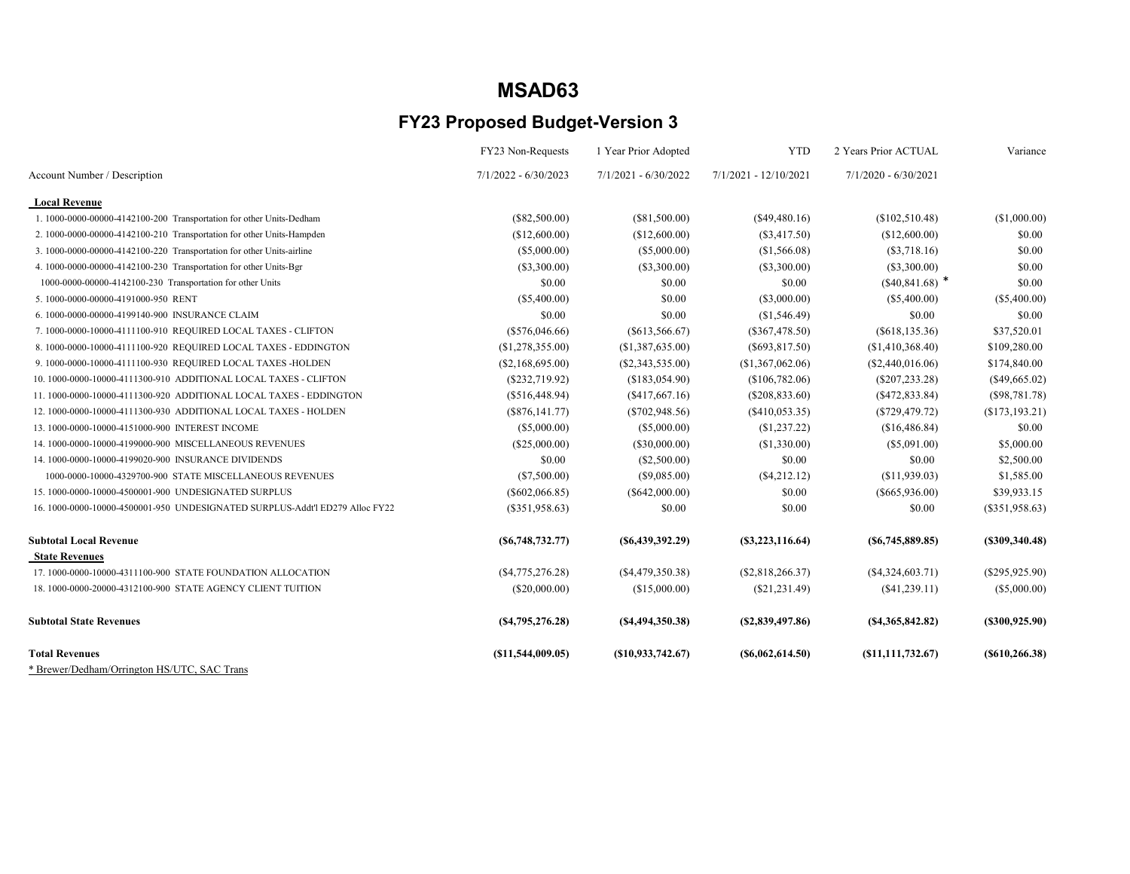|                                                                              | FY23 Non-Requests    | 1 Year Prior Adopted   | <b>YTD</b>            | 2 Years Prior ACTUAL | Variance         |
|------------------------------------------------------------------------------|----------------------|------------------------|-----------------------|----------------------|------------------|
| Account Number / Description                                                 | 7/1/2022 - 6/30/2023 | $7/1/2021 - 6/30/2022$ | 7/1/2021 - 12/10/2021 | 7/1/2020 - 6/30/2021 |                  |
| <b>Local Revenue</b>                                                         |                      |                        |                       |                      |                  |
| 1. 1000-0000-00000-4142100-200 Transportation for other Units-Dedham         | $(\$82,500.00)$      | (\$81,500.00)          | $(\$49,480.16)$       | (\$102,510.48)       | (\$1,000.00)     |
| 2. 1000-0000-00000-4142100-210 Transportation for other Units-Hampden        | (\$12,600.00)        | (\$12,600.00)          | $(\$3,417.50)$        | (\$12,600.00)        | \$0.00           |
| 3. 1000-0000-00000-4142100-220 Transportation for other Units-airline        | (\$5,000.00)         | (\$5,000.00)           | (\$1,566.08)          | $(\$3,718.16)$       | \$0.00           |
| 4. 1000-0000-00000-4142100-230 Transportation for other Units-Bgr            | (\$3,300.00)         | (\$3,300.00)           | $(\$3,300.00)$        | $(\$3,300.00)$       | \$0.00           |
| 1000-0000-00000-4142100-230 Transportation for other Units                   | \$0.00               | \$0.00                 | \$0.00                | $(*40,841.68)$ *     | \$0.00           |
| 5.1000-0000-00000-4191000-950 RENT                                           | (\$5,400.00)         | \$0.00                 | $(\$3,000.00)$        | $(\$5,400.00)$       | $(\$5,400.00)$   |
| 6.1000-0000-00000-4199140-900 INSURANCE CLAIM                                | \$0.00               | \$0.00                 | (\$1,546.49)          | \$0.00               | \$0.00           |
| 7. 1000-0000-10000-4111100-910 REQUIRED LOCAL TAXES - CLIFTON                | $(\$576,046.66)$     | $(\$613,566.67)$       | $(\$367,478.50)$      | (S618, 135.36)       | \$37,520.01      |
| 8. 1000-0000-10000-4111100-920 REQUIRED LOCAL TAXES - EDDINGTON              | (\$1,278,355.00)     | (\$1,387,635.00)       | $(\$693,817.50)$      | (\$1,410,368.40)     | \$109,280.00     |
| 9. 1000-0000-10000-4111100-930 REQUIRED LOCAL TAXES -HOLDEN                  | (S2, 168, 695.00)    | (S2, 343, 535.00)      | (\$1,367,062.06)      | (S2,440,016.06)      | \$174,840.00     |
| 10. 1000-0000-10000-4111300-910 ADDITIONAL LOCAL TAXES - CLIFTON             | (\$232,719.92)       | (\$183,054.90)         | (\$106,782.06)        | $(\$207, 233.28)$    | $(\$49,665.02)$  |
| 11.1000-0000-10000-4111300-920 ADDITIONAL LOCAL TAXES - EDDINGTON            | (\$516,448.94)       | (S417, 667.16)         | $(\$208,833.60)$      | (S472, 833.84)       | (S98, 781.78)    |
| 12. 1000-0000-10000-4111300-930 ADDITIONAL LOCAL TAXES - HOLDEN              | (\$876,141.77)       | $(\$702,948.56)$       | (S410, 053.35)        | (S729, 479.72)       | (S173, 193.21)   |
| 13.1000-0000-10000-4151000-900 INTEREST INCOME                               | (\$5,000.00)         | (\$5,000.00)           | (\$1,237.22)          | (\$16,486.84)        | \$0.00           |
| 14. 1000-0000-10000-4199000-900 MISCELLANEOUS REVENUES                       | (\$25,000.00)        | (\$30,000.00)          | (\$1,330.00)          | $(\$5,091.00)$       | \$5,000.00       |
| 14. 1000-0000-10000-4199020-900 INSURANCE DIVIDENDS                          | \$0.00               | (\$2,500.00)           | \$0.00                | \$0.00               | \$2,500.00       |
| 1000-0000-10000-4329700-900 STATE MISCELLANEOUS REVENUES                     | (S7,500.00)          | (S9,085.00)            | $(\$4,212.12)$        | (S11, 939.03)        | \$1,585.00       |
| 15. 1000-0000-10000-4500001-900 UNDESIGNATED SURPLUS                         | $(\$602,066.85)$     | $(\$642,000.00)$       | \$0.00                | $(\$665,936.00)$     | \$39,933.15      |
| 16, 1000-0000-10000-4500001-950 UNDESIGNATED SURPLUS-Addt'l ED279 Alloc FY22 | $(\$351,958.63)$     | \$0.00                 | \$0.00                | \$0.00               | (\$351,958.63)   |
| <b>Subtotal Local Revenue</b>                                                | (S6,748,732.77)      | ( \$6,439,392.29)      | (S3, 223, 116.64)     | $($ \$6,745,889.85)  | (S309, 340.48)   |
| <b>State Revenues</b>                                                        |                      |                        |                       |                      |                  |
| 17. 1000-0000-10000-4311100-900 STATE FOUNDATION ALLOCATION                  | (\$4,775,276.28)     | $(\$4,479,350.38)$     | (\$2,818,266.37)      | (S4,324,603.71)      | $(\$295,925.90)$ |
| 18. 1000-0000-20000-4312100-900 STATE AGENCY CLIENT TUITION                  | $(\$20,000.00)$      | (\$15,000.00)          | (S21, 231.49)         | (\$41,239.11)        | $(\$5,000.00)$   |
| <b>Subtotal State Revenues</b>                                               | (S4,795,276.28)      | (S4, 494, 350.38)      | (S2, 839, 497.86)     | (S4, 365, 842.82)    | (S300, 925.90)   |
| <b>Total Revenues</b>                                                        | (S11, 544, 009.05)   | (S10, 933, 742, 67)    | (S6,062,614.50)       | (S11, 111, 732.67)   | (S610, 266.38)   |
| * Brewer/Dedham/Orrington HS/UTC, SAC Trans                                  |                      |                        |                       |                      |                  |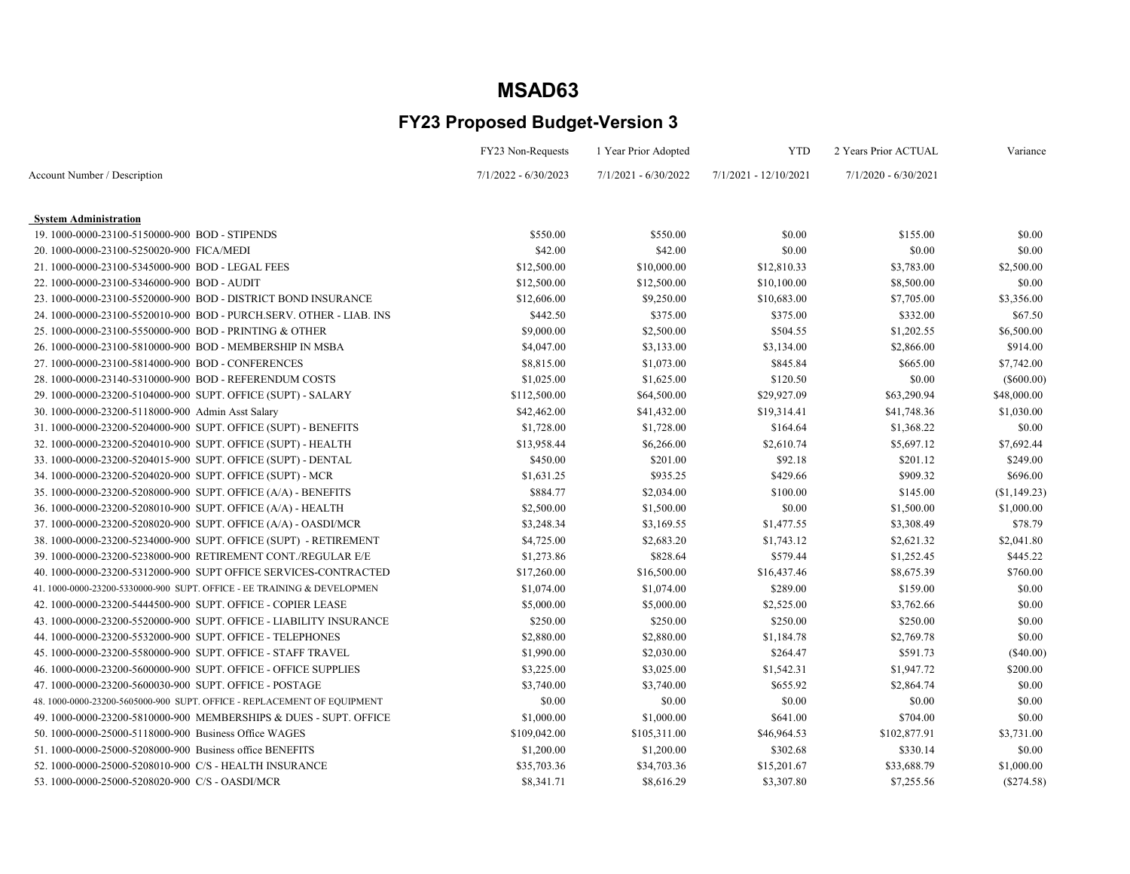|                                                                         | FY23 Non-Requests      | 1 Year Prior Adopted   | <b>YTD</b>            | 2 Years Prior ACTUAL   | Variance      |
|-------------------------------------------------------------------------|------------------------|------------------------|-----------------------|------------------------|---------------|
| Account Number / Description                                            | $7/1/2022 - 6/30/2023$ | $7/1/2021 - 6/30/2022$ | 7/1/2021 - 12/10/2021 | $7/1/2020 - 6/30/2021$ |               |
| <b>System Administration</b>                                            |                        |                        |                       |                        |               |
| 19.1000-0000-23100-5150000-900 BOD - STIPENDS                           | \$550.00               | \$550.00               | \$0.00                | \$155.00               | \$0.00        |
| 20.1000-0000-23100-5250020-900 FICA/MEDI                                | \$42.00                | \$42.00                | \$0.00                | \$0.00                 | \$0.00        |
| 21.1000-0000-23100-5345000-900 BOD - LEGAL FEES                         | \$12,500.00            | \$10,000.00            | \$12,810.33           | \$3,783.00             | \$2,500.00    |
| 22. 1000-0000-23100-5346000-900 BOD - AUDIT                             | \$12,500.00            | \$12,500.00            | \$10,100.00           | \$8,500.00             | \$0.00        |
| 23. 1000-0000-23100-5520000-900 BOD - DISTRICT BOND INSURANCE           | \$12,606.00            | \$9,250.00             | \$10,683.00           | \$7,705.00             | \$3,356.00    |
| 24. 1000-0000-23100-5520010-900 BOD - PURCH.SERV. OTHER - LIAB. INS     | \$442.50               | \$375.00               | \$375.00              | \$332.00               | \$67.50       |
| 25. 1000-0000-23100-5550000-900 BOD - PRINTING & OTHER                  | \$9,000.00             | \$2,500.00             | \$504.55              | \$1,202.55             | \$6,500.00    |
| 26. 1000-0000-23100-5810000-900 BOD - MEMBERSHIP IN MSBA                | \$4,047.00             | \$3,133.00             | \$3,134.00            | \$2,866.00             | \$914.00      |
| 27.1000-0000-23100-5814000-900 BOD - CONFERENCES                        | \$8,815.00             | \$1,073.00             | \$845.84              | \$665.00               | \$7,742.00    |
| 28.1000-0000-23140-5310000-900 BOD - REFERENDUM COSTS                   | \$1,025.00             | \$1,625.00             | \$120.50              | \$0.00                 | $($ \$600.00) |
| 29.1000-0000-23200-5104000-900 SUPT. OFFICE (SUPT) - SALARY             | \$112,500.00           | \$64,500.00            | \$29,927.09           | \$63,290.94            | \$48,000.00   |
| 30. 1000-0000-23200-5118000-900 Admin Asst Salary                       | \$42,462.00            | \$41,432.00            | \$19,314.41           | \$41,748.36            | \$1,030.00    |
| 31.1000-0000-23200-5204000-900 SUPT. OFFICE (SUPT) - BENEFITS           | \$1,728.00             | \$1,728.00             | \$164.64              | \$1,368.22             | \$0.00        |
| 32. 1000-0000-23200-5204010-900 SUPT. OFFICE (SUPT) - HEALTH            | \$13,958.44            | \$6,266.00             | \$2,610.74            | \$5,697.12             | \$7,692.44    |
| 33. 1000-0000-23200-5204015-900 SUPT. OFFICE (SUPT) - DENTAL            | \$450.00               | \$201.00               | \$92.18               | \$201.12               | \$249.00      |
| 34. 1000-0000-23200-5204020-900 SUPT. OFFICE (SUPT) - MCR               | \$1,631.25             | \$935.25               | \$429.66              | \$909.32               | \$696.00      |
| 35. 1000-0000-23200-5208000-900 SUPT. OFFICE (A/A) - BENEFITS           | \$884.77               | \$2,034.00             | \$100.00              | \$145.00               | (\$1,149.23)  |
| 36. 1000-0000-23200-5208010-900 SUPT. OFFICE (A/A) - HEALTH             | \$2,500.00             | \$1,500.00             | \$0.00                | \$1,500.00             | \$1,000.00    |
| 37. 1000-0000-23200-5208020-900 SUPT. OFFICE (A/A) - OASDI/MCR          | \$3,248.34             | \$3,169.55             | \$1,477.55            | \$3,308.49             | \$78.79       |
| 38. 1000-0000-23200-5234000-900 SUPT. OFFICE (SUPT) - RETIREMENT        | \$4,725.00             | \$2,683.20             | \$1,743.12            | \$2,621.32             | \$2,041.80    |
| 39. 1000-0000-23200-5238000-900 RETIREMENT CONT./REGULAR E/E            | \$1,273.86             | \$828.64               | \$579.44              | \$1,252.45             | \$445.22      |
| 40. 1000-0000-23200-5312000-900 SUPT OFFICE SERVICES-CONTRACTED         | \$17,260.00            | \$16,500.00            | \$16,437.46           | \$8,675.39             | \$760.00      |
| 41. 1000-0000-23200-5330000-900 SUPT. OFFICE - EE TRAINING & DEVELOPMEN | \$1,074.00             | \$1,074.00             | \$289.00              | \$159.00               | \$0.00        |
| 42. 1000-0000-23200-5444500-900 SUPT. OFFICE - COPIER LEASE             | \$5,000.00             | \$5,000.00             | \$2,525.00            | \$3,762.66             | \$0.00        |
| 43. 1000-0000-23200-5520000-900 SUPT. OFFICE - LIABILITY INSURANCE      | \$250.00               | \$250.00               | \$250.00              | \$250.00               | \$0.00        |
| 44.1000-0000-23200-5532000-900 SUPT. OFFICE - TELEPHONES                | \$2,880.00             | \$2,880.00             | \$1,184.78            | \$2,769.78             | \$0.00        |
| 45.1000-0000-23200-5580000-900 SUPT. OFFICE - STAFF TRAVEL              | \$1,990.00             | \$2,030.00             | \$264.47              | \$591.73               | (\$40.00)     |
| 46. 1000-0000-23200-5600000-900 SUPT. OFFICE - OFFICE SUPPLIES          | \$3,225.00             | \$3,025.00             | \$1,542.31            | \$1,947.72             | \$200.00      |
| 47.1000-0000-23200-5600030-900 SUPT. OFFICE - POSTAGE                   | \$3,740.00             | \$3,740.00             | \$655.92              | \$2,864.74             | \$0.00        |
| 48. 1000-0000-23200-5605000-900 SUPT. OFFICE - REPLACEMENT OF EQUIPMENT | \$0.00                 | \$0.00                 | \$0.00                | \$0.00                 | \$0.00        |
| 49. 1000-0000-23200-5810000-900 MEMBERSHIPS & DUES - SUPT. OFFICE       | \$1,000.00             | \$1,000.00             | \$641.00              | \$704.00               | \$0.00        |
| 50. 1000-0000-25000-5118000-900 Business Office WAGES                   | \$109,042.00           | \$105,311.00           | \$46,964.53           | \$102,877.91           | \$3,731.00    |
| 51.1000-0000-25000-5208000-900 Business office BENEFITS                 | \$1,200.00             | \$1,200.00             | \$302.68              | \$330.14               | \$0.00        |
| 52. 1000-0000-25000-5208010-900 C/S - HEALTH INSURANCE                  | \$35,703.36            | \$34,703.36            | \$15,201.67           | \$33,688.79            | \$1,000.00    |
| 53.1000-0000-25000-5208020-900 C/S - OASDI/MCR                          | \$8,341.71             | \$8,616.29             | \$3,307.80            | \$7,255.56             | (S274.58)     |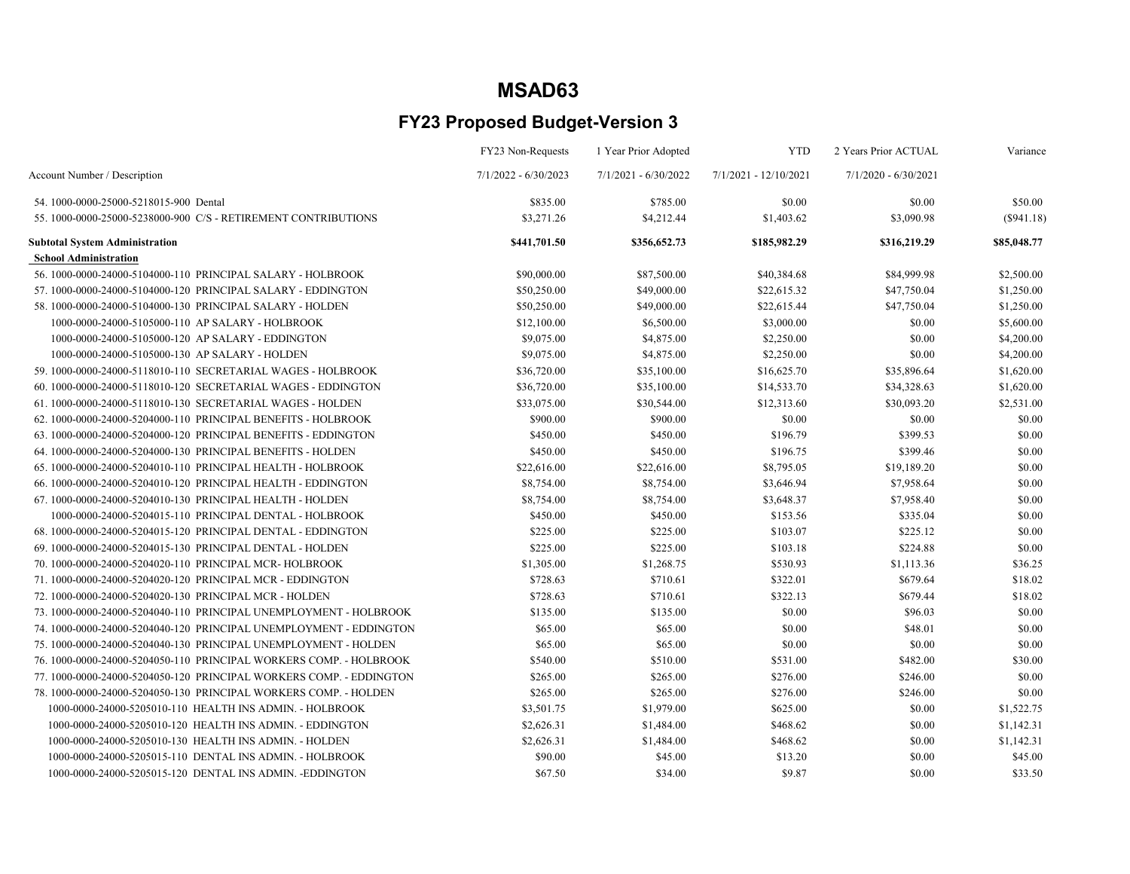|                                                                     | FY23 Non-Requests      | 1 Year Prior Adopted   | <b>YTD</b>            | 2 Years Prior ACTUAL   | Variance     |
|---------------------------------------------------------------------|------------------------|------------------------|-----------------------|------------------------|--------------|
| Account Number / Description                                        | $7/1/2022 - 6/30/2023$ | $7/1/2021 - 6/30/2022$ | 7/1/2021 - 12/10/2021 | $7/1/2020 - 6/30/2021$ |              |
| 54.1000-0000-25000-5218015-900 Dental                               | \$835.00               | \$785.00               | \$0.00                | \$0.00                 | \$50.00      |
| 55. 1000-0000-25000-5238000-900 C/S - RETIREMENT CONTRIBUTIONS      | \$3,271.26             | \$4,212.44             | \$1,403.62            | \$3,090.98             | $(\$941.18)$ |
| <b>Subtotal System Administration</b>                               | \$441,701.50           | \$356,652.73           | \$185,982.29          | \$316,219.29           | \$85,048.77  |
| <b>School Administration</b>                                        |                        |                        |                       |                        |              |
| 56. 1000-0000-24000-5104000-110 PRINCIPAL SALARY - HOLBROOK         | \$90,000.00            | \$87,500.00            | \$40,384.68           | \$84,999.98            | \$2,500.00   |
| 57.1000-0000-24000-5104000-120 PRINCIPAL SALARY - EDDINGTON         | \$50,250.00            | \$49,000.00            | \$22,615.32           | \$47,750.04            | \$1,250.00   |
| 58.1000-0000-24000-5104000-130 PRINCIPAL SALARY - HOLDEN            | \$50,250.00            | \$49,000.00            | \$22,615.44           | \$47,750.04            | \$1,250.00   |
| 1000-0000-24000-5105000-110 AP SALARY - HOLBROOK                    | \$12,100.00            | \$6,500.00             | \$3,000.00            | \$0.00                 | \$5,600.00   |
| 1000-0000-24000-5105000-120 AP SALARY - EDDINGTON                   | \$9,075.00             | \$4,875.00             | \$2,250.00            | \$0.00                 | \$4,200.00   |
| 1000-0000-24000-5105000-130 AP SALARY - HOLDEN                      | \$9,075.00             | \$4,875.00             | \$2,250.00            | \$0.00                 | \$4,200.00   |
| 59. 1000-0000-24000-5118010-110 SECRETARIAL WAGES - HOLBROOK        | \$36,720.00            | \$35,100.00            | \$16,625.70           | \$35,896.64            | \$1,620.00   |
| 60.1000-0000-24000-5118010-120 SECRETARIAL WAGES - EDDINGTON        | \$36,720.00            | \$35,100.00            | \$14,533.70           | \$34,328.63            | \$1,620.00   |
| 61.1000-0000-24000-5118010-130 SECRETARIAL WAGES - HOLDEN           | \$33,075.00            | \$30,544.00            | \$12,313.60           | \$30,093.20            | \$2,531.00   |
| 62. 1000-0000-24000-5204000-110 PRINCIPAL BENEFITS - HOLBROOK       | \$900.00               | \$900.00               | \$0.00                | \$0.00                 | \$0.00       |
| 63.1000-0000-24000-5204000-120 PRINCIPAL BENEFITS - EDDINGTON       | \$450.00               | \$450.00               | \$196.79              | \$399.53               | \$0.00       |
| 64. 1000-0000-24000-5204000-130 PRINCIPAL BENEFITS - HOLDEN         | \$450.00               | \$450.00               | \$196.75              | \$399.46               | \$0.00       |
| 65. 1000-0000-24000-5204010-110 PRINCIPAL HEALTH - HOLBROOK         | \$22,616.00            | \$22,616.00            | \$8,795.05            | \$19,189.20            | \$0.00       |
| 66.1000-0000-24000-5204010-120 PRINCIPAL HEALTH - EDDINGTON         | \$8,754.00             | \$8,754.00             | \$3,646.94            | \$7,958.64             | \$0.00       |
| 67.1000-0000-24000-5204010-130 PRINCIPAL HEALTH - HOLDEN            | \$8,754.00             | \$8,754.00             | \$3,648.37            | \$7,958.40             | \$0.00       |
| 1000-0000-24000-5204015-110 PRINCIPAL DENTAL - HOLBROOK             | \$450.00               | \$450.00               | \$153.56              | \$335.04               | \$0.00       |
| 68.1000-0000-24000-5204015-120 PRINCIPAL DENTAL - EDDINGTON         | \$225.00               | \$225.00               | \$103.07              | \$225.12               | \$0.00       |
| 69.1000-0000-24000-5204015-130 PRINCIPAL DENTAL - HOLDEN            | \$225.00               | \$225.00               | \$103.18              | \$224.88               | \$0.00       |
| 70. 1000-0000-24000-5204020-110 PRINCIPAL MCR-HOLBROOK              | \$1,305.00             | \$1,268.75             | \$530.93              | \$1,113.36             | \$36.25      |
| 71.1000-0000-24000-5204020-120 PRINCIPAL MCR - EDDINGTON            | \$728.63               | \$710.61               | \$322.01              | \$679.64               | \$18.02      |
| 72. 1000-0000-24000-5204020-130 PRINCIPAL MCR - HOLDEN              | \$728.63               | \$710.61               | \$322.13              | \$679.44               | \$18.02      |
| 73. 1000-0000-24000-5204040-110 PRINCIPAL UNEMPLOYMENT - HOLBROOK   | \$135.00               | \$135.00               | \$0.00                | \$96.03                | \$0.00       |
| 74. 1000-0000-24000-5204040-120 PRINCIPAL UNEMPLOYMENT - EDDINGTON  | \$65.00                | \$65.00                | \$0.00                | \$48.01                | \$0.00       |
| 75. 1000-0000-24000-5204040-130 PRINCIPAL UNEMPLOYMENT - HOLDEN     | \$65.00                | \$65.00                | \$0.00                | \$0.00                 | \$0.00       |
| 76. 1000-0000-24000-5204050-110 PRINCIPAL WORKERS COMP. - HOLBROOK  | \$540.00               | \$510.00               | \$531.00              | \$482.00               | \$30.00      |
| 77. 1000-0000-24000-5204050-120 PRINCIPAL WORKERS COMP. - EDDINGTON | \$265.00               | \$265.00               | \$276.00              | \$246.00               | \$0.00       |
| 78. 1000-0000-24000-5204050-130 PRINCIPAL WORKERS COMP. - HOLDEN    | \$265.00               | \$265.00               | \$276.00              | \$246.00               | \$0.00       |
| 1000-0000-24000-5205010-110 HEALTH INS ADMIN. - HOLBROOK            | \$3,501.75             | \$1,979.00             | \$625.00              | \$0.00                 | \$1,522.75   |
| 1000-0000-24000-5205010-120 HEALTH INS ADMIN. - EDDINGTON           | \$2,626.31             | \$1,484.00             | \$468.62              | \$0.00                 | \$1,142.31   |
| 1000-0000-24000-5205010-130 HEALTH INS ADMIN. - HOLDEN              | \$2,626.31             | \$1,484.00             | \$468.62              | \$0.00                 | \$1,142.31   |
| 1000-0000-24000-5205015-110 DENTAL INS ADMIN. - HOLBROOK            | \$90.00                | \$45.00                | \$13.20               | \$0.00                 | \$45.00      |
| 1000-0000-24000-5205015-120 DENTAL INS ADMIN. -EDDINGTON            | \$67.50                | \$34.00                | \$9.87                | \$0.00                 | \$33.50      |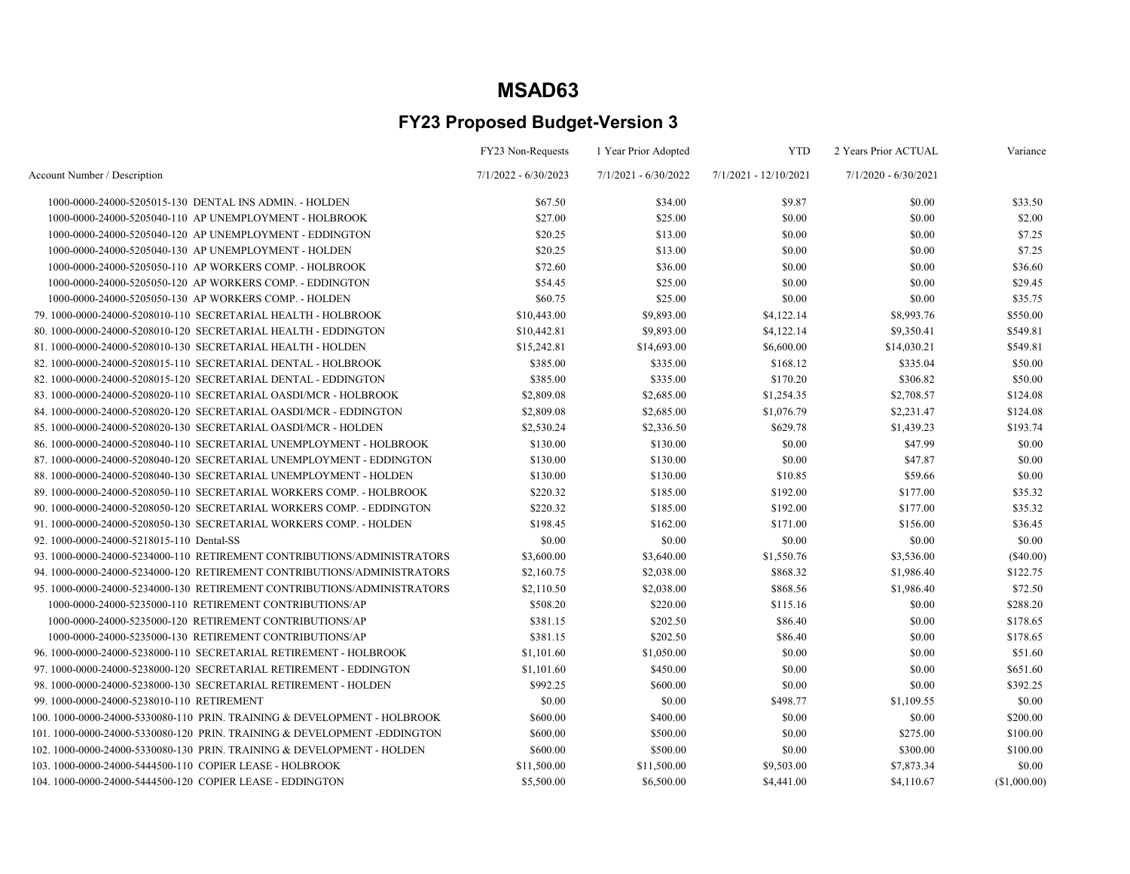|                                                                          | FY23 Non-Requests      | 1 Year Prior Adopted   | <b>YTD</b>            | 2 Years Prior ACTUAL   | Variance     |
|--------------------------------------------------------------------------|------------------------|------------------------|-----------------------|------------------------|--------------|
| Account Number / Description                                             | $7/1/2022 - 6/30/2023$ | $7/1/2021 - 6/30/2022$ | 7/1/2021 - 12/10/2021 | $7/1/2020 - 6/30/2021$ |              |
| 1000-0000-24000-5205015-130 DENTAL INS ADMIN. - HOLDEN                   | \$67.50                | \$34.00                | \$9.87                | \$0.00                 | \$33.50      |
| 1000-0000-24000-5205040-110 AP UNEMPLOYMENT - HOLBROOK                   | \$27.00                | \$25.00                | \$0.00                | \$0.00                 | \$2.00       |
| 1000-0000-24000-5205040-120 AP UNEMPLOYMENT - EDDINGTON                  | \$20.25                | \$13.00                | \$0.00                | \$0.00                 | \$7.25       |
| 1000-0000-24000-5205040-130 AP UNEMPLOYMENT - HOLDEN                     | \$20.25                | \$13.00                | \$0.00                | \$0.00                 | \$7.25       |
| 1000-0000-24000-5205050-110 AP WORKERS COMP. - HOLBROOK                  | \$72.60                | \$36.00                | \$0.00                | \$0.00                 | \$36.60      |
| 1000-0000-24000-5205050-120 AP WORKERS COMP. - EDDINGTON                 | \$54.45                | \$25.00                | \$0.00                | \$0.00                 | \$29.45      |
| 1000-0000-24000-5205050-130 AP WORKERS COMP. - HOLDEN                    | \$60.75                | \$25.00                | \$0.00                | \$0.00                 | \$35.75      |
| 79. 1000-0000-24000-5208010-110 SECRETARIAL HEALTH - HOLBROOK            | \$10,443.00            | \$9,893.00             | \$4,122.14            | \$8,993.76             | \$550.00     |
| 80.1000-0000-24000-5208010-120 SECRETARIAL HEALTH - EDDINGTON            | \$10,442.81            | \$9,893.00             | \$4,122.14            | \$9,350.41             | \$549.81     |
| 81.1000-0000-24000-5208010-130 SECRETARIAL HEALTH - HOLDEN               | \$15,242.81            | \$14,693.00            | \$6,600.00            | \$14,030.21            | \$549.81     |
| 82. 1000-0000-24000-5208015-110 SECRETARIAL DENTAL - HOLBROOK            | \$385.00               | \$335.00               | \$168.12              | \$335.04               | \$50.00      |
| 82.1000-0000-24000-5208015-120 SECRETARIAL DENTAL - EDDINGTON            | \$385.00               | \$335.00               | \$170.20              | \$306.82               | \$50.00      |
| 83.1000-0000-24000-5208020-110 SECRETARIAL OASDI/MCR - HOLBROOK          | \$2,809.08             | \$2,685.00             | \$1,254.35            | \$2,708.57             | \$124.08     |
| 84. 1000-0000-24000-5208020-120 SECRETARIAL OASDI/MCR - EDDINGTON        | \$2,809.08             | \$2,685.00             | \$1,076.79            | \$2,231.47             | \$124.08     |
| 85. 1000-0000-24000-5208020-130 SECRETARIAL OASDI/MCR - HOLDEN           | \$2,530.24             | \$2,336.50             | \$629.78              | \$1,439.23             | \$193.74     |
| 86. 1000-0000-24000-5208040-110 SECRETARIAL UNEMPLOYMENT - HOLBROOK      | \$130.00               | \$130.00               | \$0.00                | \$47.99                | \$0.00       |
| 87.1000-0000-24000-5208040-120 SECRETARIAL UNEMPLOYMENT - EDDINGTON      | \$130.00               | \$130.00               | \$0.00                | \$47.87                | \$0.00       |
| 88. 1000-0000-24000-5208040-130 SECRETARIAL UNEMPLOYMENT - HOLDEN        | \$130.00               | \$130.00               | \$10.85               | \$59.66                | \$0.00       |
| 89. 1000-0000-24000-5208050-110 SECRETARIAL WORKERS COMP. - HOLBROOK     | \$220.32               | \$185.00               | \$192.00              | \$177.00               | \$35.32      |
| 90. 1000-0000-24000-5208050-120 SECRETARIAL WORKERS COMP. - EDDINGTON    | \$220.32               | \$185.00               | \$192.00              | \$177.00               | \$35.32      |
| 91. 1000-0000-24000-5208050-130 SECRETARIAL WORKERS COMP. - HOLDEN       | \$198.45               | \$162.00               | \$171.00              | \$156.00               | \$36.45      |
| 92. 1000-0000-24000-5218015-110 Dental-SS                                | \$0.00                 | \$0.00                 | \$0.00                | \$0.00                 | \$0.00       |
| 93.1000-0000-24000-5234000-110 RETIREMENT CONTRIBUTIONS/ADMINISTRATORS   | \$3,600.00             | \$3,640.00             | \$1,550.76            | \$3,536.00             | $(\$40.00)$  |
| 94.1000-0000-24000-5234000-120 RETIREMENT CONTRIBUTIONS/ADMINISTRATORS   | \$2,160.75             | \$2,038.00             | \$868.32              | \$1,986.40             | \$122.75     |
| 95. 1000-0000-24000-5234000-130 RETIREMENT CONTRIBUTIONS/ADMINISTRATORS  | \$2,110.50             | \$2,038.00             | \$868.56              | \$1,986.40             | \$72.50      |
| 1000-0000-24000-5235000-110 RETIREMENT CONTRIBUTIONS/AP                  | \$508.20               | \$220.00               | \$115.16              | \$0.00                 | \$288.20     |
| 1000-0000-24000-5235000-120 RETIREMENT CONTRIBUTIONS/AP                  | \$381.15               | \$202.50               | \$86.40               | \$0.00                 | \$178.65     |
| 1000-0000-24000-5235000-130 RETIREMENT CONTRIBUTIONS/AP                  | \$381.15               | \$202.50               | \$86.40               | \$0.00                 | \$178.65     |
| 96. 1000-0000-24000-5238000-110 SECRETARIAL RETIREMENT - HOLBROOK        | \$1,101.60             | \$1,050.00             | \$0.00                | \$0.00                 | \$51.60      |
| 97. 1000-0000-24000-5238000-120 SECRETARIAL RETIREMENT - EDDINGTON       | \$1,101.60             | \$450.00               | \$0.00                | \$0.00                 | \$651.60     |
| 98. 1000-0000-24000-5238000-130 SECRETARIAL RETIREMENT - HOLDEN          | \$992.25               | \$600.00               | \$0.00                | \$0.00                 | \$392.25     |
| 99.1000-0000-24000-5238010-110 RETIREMENT                                | \$0.00                 | \$0.00                 | \$498.77              | \$1,109.55             | \$0.00       |
| 100. 1000-0000-24000-5330080-110 PRIN. TRAINING & DEVELOPMENT - HOLBROOK | \$600.00               | \$400.00               | \$0.00                | \$0.00                 | \$200.00     |
| 101.1000-0000-24000-5330080-120 PRIN. TRAINING & DEVELOPMENT-EDDINGTON   | \$600.00               | \$500.00               | \$0.00                | \$275.00               | \$100.00     |
| 102. 1000-0000-24000-5330080-130 PRIN. TRAINING & DEVELOPMENT - HOLDEN   | \$600.00               | \$500.00               | \$0.00                | \$300.00               | \$100.00     |
| 103.1000-0000-24000-5444500-110 COPIER LEASE - HOLBROOK                  | \$11,500.00            | \$11,500.00            | \$9,503.00            | \$7,873.34             | \$0.00       |
| 104.1000-0000-24000-5444500-120 COPIER LEASE - EDDINGTON                 | \$5,500.00             | \$6,500.00             | \$4,441.00            | \$4,110.67             | (\$1,000.00) |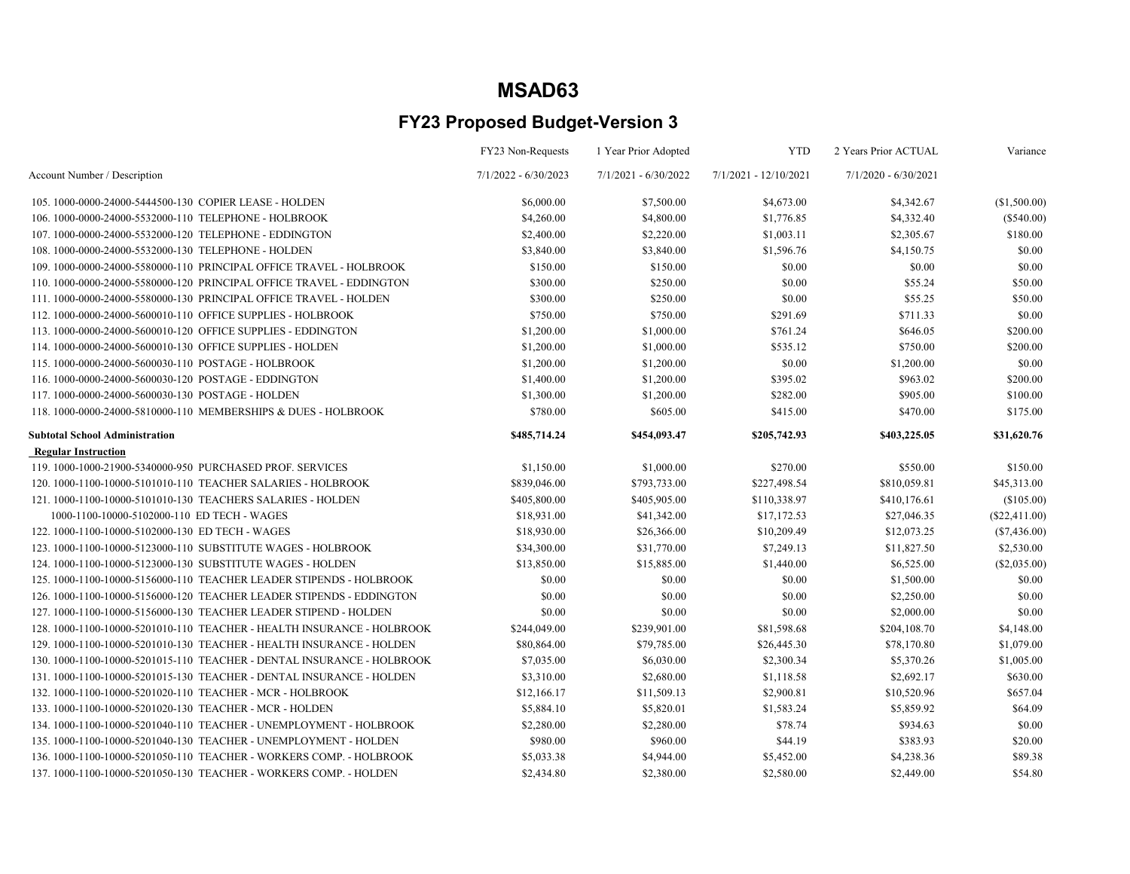|                                                                        | FY23 Non-Requests      | 1 Year Prior Adopted   | <b>YTD</b>              | 2 Years Prior ACTUAL   | Variance        |
|------------------------------------------------------------------------|------------------------|------------------------|-------------------------|------------------------|-----------------|
| Account Number / Description                                           | $7/1/2022 - 6/30/2023$ | $7/1/2021 - 6/30/2022$ | $7/1/2021 - 12/10/2021$ | $7/1/2020 - 6/30/2021$ |                 |
| 105.1000-0000-24000-5444500-130 COPIER LEASE - HOLDEN                  | \$6,000.00             | \$7,500.00             | \$4,673.00              | \$4,342.67             | (\$1,500.00)    |
| 106.1000-0000-24000-5532000-110 TELEPHONE - HOLBROOK                   | \$4,260.00             | \$4,800.00             | \$1,776.85              | \$4,332.40             | $(\$540.00)$    |
| 107.1000-0000-24000-5532000-120 TELEPHONE - EDDINGTON                  | \$2,400.00             | \$2,220.00             | \$1,003.11              | \$2,305.67             | \$180.00        |
| 108.1000-0000-24000-5532000-130 TELEPHONE - HOLDEN                     | \$3,840.00             | \$3,840.00             | \$1,596.76              | \$4,150.75             | \$0.00          |
| 109. 1000-0000-24000-5580000-110 PRINCIPAL OFFICE TRAVEL - HOLBROOK    | \$150.00               | \$150.00               | \$0.00                  | \$0.00                 | \$0.00          |
| 110.1000-0000-24000-5580000-120 PRINCIPAL OFFICE TRAVEL - EDDINGTON    | \$300.00               | \$250.00               | \$0.00                  | \$55.24                | \$50.00         |
| 111.1000-0000-24000-5580000-130 PRINCIPAL OFFICE TRAVEL - HOLDEN       | \$300.00               | \$250.00               | \$0.00                  | \$55.25                | \$50.00         |
| 112. 1000-0000-24000-5600010-110 OFFICE SUPPLIES - HOLBROOK            | \$750.00               | \$750.00               | \$291.69                | \$711.33               | \$0.00          |
| 113.1000-0000-24000-5600010-120 OFFICE SUPPLIES - EDDINGTON            | \$1,200.00             | \$1,000.00             | \$761.24                | \$646.05               | \$200.00        |
| 114.1000-0000-24000-5600010-130 OFFICE SUPPLIES - HOLDEN               | \$1,200.00             | \$1,000.00             | \$535.12                | \$750.00               | \$200.00        |
| 115.1000-0000-24000-5600030-110 POSTAGE - HOLBROOK                     | \$1,200.00             | \$1,200.00             | \$0.00                  | \$1,200.00             | \$0.00          |
| 116.1000-0000-24000-5600030-120 POSTAGE - EDDINGTON                    | \$1,400.00             | \$1,200.00             | \$395.02                | \$963.02               | \$200.00        |
| 117.1000-0000-24000-5600030-130 POSTAGE - HOLDEN                       | \$1,300.00             | \$1,200.00             | \$282.00                | \$905.00               | \$100.00        |
| 118. 1000-0000-24000-5810000-110 MEMBERSHIPS & DUES - HOLBROOK         | \$780.00               | \$605.00               | \$415.00                | \$470.00               | \$175.00        |
| <b>Subtotal School Administration</b>                                  | \$485,714.24           | \$454,093.47           | \$205,742.93            | \$403,225.05           | \$31,620.76     |
| <b>Regular Instruction</b>                                             |                        |                        |                         |                        |                 |
| 119. 1000-1000-21900-5340000-950 PURCHASED PROF. SERVICES              | \$1,150.00             | \$1,000.00             | \$270.00                | \$550.00               | \$150.00        |
| 120. 1000-1100-10000-5101010-110 TEACHER SALARIES - HOLBROOK           | \$839,046.00           | \$793,733.00           | \$227,498.54            | \$810,059.81           | \$45,313.00     |
| 121. 1000-1100-10000-5101010-130 TEACHERS SALARIES - HOLDEN            | \$405,800.00           | \$405,905.00           | \$110,338.97            | \$410,176.61           | (\$105.00)      |
| 1000-1100-10000-5102000-110 ED TECH - WAGES                            | \$18,931.00            | \$41,342.00            | \$17,172.53             | \$27,046.35            | $(\$22,411.00)$ |
| 122. 1000-1100-10000-5102000-130 ED TECH - WAGES                       | \$18,930.00            | \$26,366.00            | \$10,209.49             | \$12,073.25            | $(\$7,436.00)$  |
| 123. 1000-1100-10000-5123000-110 SUBSTITUTE WAGES - HOLBROOK           | \$34,300.00            | \$31,770.00            | \$7,249.13              | \$11,827.50            | \$2,530.00      |
| 124. 1000-1100-10000-5123000-130 SUBSTITUTE WAGES - HOLDEN             | \$13,850.00            | \$15,885.00            | \$1,440.00              | \$6,525.00             | (\$2,035.00)    |
| 125. 1000-1100-10000-5156000-110 TEACHER LEADER STIPENDS - HOLBROOK    | \$0.00                 | \$0.00                 | \$0.00                  | \$1,500.00             | \$0.00          |
| 126. 1000-1100-10000-5156000-120 TEACHER LEADER STIPENDS - EDDINGTON   | \$0.00                 | \$0.00                 | \$0.00                  | \$2,250.00             | \$0.00          |
| 127. 1000-1100-10000-5156000-130 TEACHER LEADER STIPEND - HOLDEN       | \$0.00                 | \$0.00                 | \$0.00                  | \$2,000.00             | \$0.00          |
| 128. 1000-1100-10000-5201010-110 TEACHER - HEALTH INSURANCE - HOLBROOK | \$244,049.00           | \$239,901.00           | \$81,598.68             | \$204,108.70           | \$4,148.00      |
| 129, 1000-1100-10000-5201010-130 TEACHER - HEALTH INSURANCE - HOLDEN   | \$80,864.00            | \$79,785.00            | \$26,445.30             | \$78,170.80            | \$1,079.00      |
| 130. 1000-1100-10000-5201015-110 TEACHER - DENTAL INSURANCE - HOLBROOK | \$7,035.00             | \$6,030.00             | \$2,300.34              | \$5,370.26             | \$1,005.00      |
| 131.1000-1100-10000-5201015-130 TEACHER - DENTAL INSURANCE - HOLDEN    | \$3,310.00             | \$2,680.00             | \$1,118.58              | \$2,692.17             | \$630.00        |
| 132. 1000-1100-10000-5201020-110 TEACHER - MCR - HOLBROOK              | \$12,166.17            | \$11,509.13            | \$2,900.81              | \$10,520.96            | \$657.04        |
| 133, 1000-1100-10000-5201020-130 TEACHER - MCR - HOLDEN                | \$5,884.10             | \$5,820.01             | \$1,583.24              | \$5,859.92             | \$64.09         |
| 134.1000-1100-10000-5201040-110 TEACHER - UNEMPLOYMENT - HOLBROOK      | \$2,280.00             | \$2,280.00             | \$78.74                 | \$934.63               | \$0.00          |
| 135.1000-1100-10000-5201040-130 TEACHER - UNEMPLOYMENT - HOLDEN        | \$980.00               | \$960.00               | \$44.19                 | \$383.93               | \$20.00         |
| 136. 1000-1100-10000-5201050-110 TEACHER - WORKERS COMP. - HOLBROOK    | \$5,033.38             | \$4,944.00             | \$5,452.00              | \$4,238.36             | \$89.38         |
| 137. 1000-1100-10000-5201050-130 TEACHER - WORKERS COMP. - HOLDEN      | \$2,434.80             | \$2,380.00             | \$2,580.00              | \$2,449.00             | \$54.80         |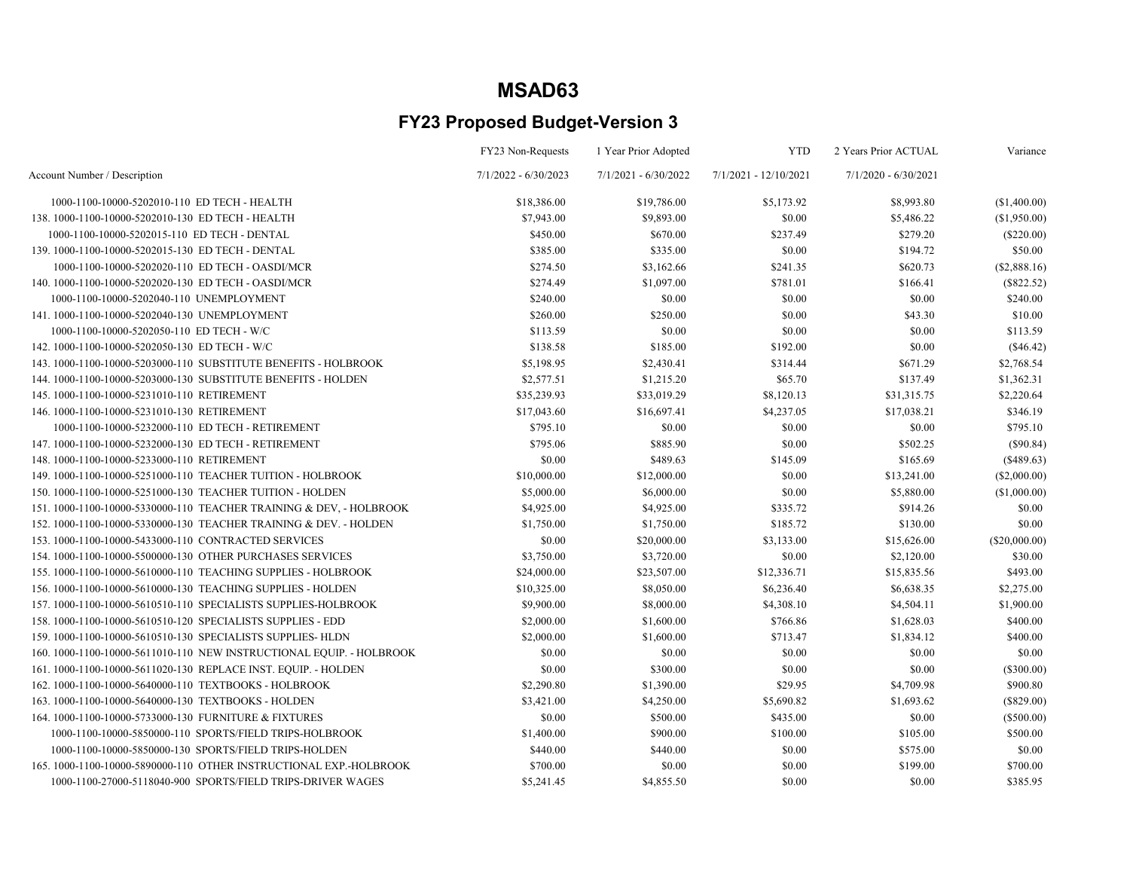|                                                                      | FY23 Non-Requests      | 1 Year Prior Adopted   | <b>YTD</b>              | 2 Years Prior ACTUAL   | Variance      |
|----------------------------------------------------------------------|------------------------|------------------------|-------------------------|------------------------|---------------|
| Account Number / Description                                         | $7/1/2022 - 6/30/2023$ | $7/1/2021 - 6/30/2022$ | $7/1/2021 - 12/10/2021$ | $7/1/2020 - 6/30/2021$ |               |
| 1000-1100-10000-5202010-110 ED TECH - HEALTH                         | \$18,386.00            | \$19,786.00            | \$5,173.92              | \$8,993.80             | (\$1,400.00)  |
| 138, 1000-1100-10000-5202010-130 ED TECH - HEALTH                    | \$7,943.00             | \$9,893.00             | \$0.00                  | \$5,486.22             | (\$1,950.00)  |
| 1000-1100-10000-5202015-110 ED TECH - DENTAL                         | \$450.00               | \$670.00               | \$237.49                | \$279.20               | $(\$220.00)$  |
| 139. 1000-1100-10000-5202015-130 ED TECH - DENTAL                    | \$385.00               | \$335.00               | \$0.00                  | \$194.72               | \$50.00       |
| 1000-1100-10000-5202020-110 ED TECH - OASDI/MCR                      | \$274.50               | \$3,162.66             | \$241.35                | \$620.73               | (\$2,888.16)  |
| 140. 1000-1100-10000-5202020-130 ED TECH - OASDI/MCR                 | \$274.49               | \$1,097.00             | \$781.01                | \$166.41               | $(\$822.52)$  |
| 1000-1100-10000-5202040-110 UNEMPLOYMENT                             | \$240.00               | \$0.00                 | \$0.00                  | \$0.00                 | \$240.00      |
| 141.1000-1100-10000-5202040-130 UNEMPLOYMENT                         | \$260.00               | \$250.00               | \$0.00                  | \$43.30                | \$10.00       |
| 1000-1100-10000-5202050-110 ED TECH - W/C                            | \$113.59               | \$0.00                 | \$0.00                  | \$0.00                 | \$113.59      |
| 142. 1000-1100-10000-5202050-130 ED TECH - W/C                       | \$138.58               | \$185.00               | \$192.00                | \$0.00                 | (\$46.42)     |
| 143. 1000-1100-10000-5203000-110 SUBSTITUTE BENEFITS - HOLBROOK      | \$5,198.95             | \$2,430.41             | \$314.44                | \$671.29               | \$2,768.54    |
| 144. 1000-1100-10000-5203000-130 SUBSTITUTE BENEFITS - HOLDEN        | \$2,577.51             | \$1,215.20             | \$65.70                 | \$137.49               | \$1,362.31    |
| 145.1000-1100-10000-5231010-110 RETIREMENT                           | \$35,239.93            | \$33,019.29            | \$8,120.13              | \$31,315.75            | \$2,220.64    |
| 146.1000-1100-10000-5231010-130 RETIREMENT                           | \$17,043.60            | \$16,697.41            | \$4,237.05              | \$17,038.21            | \$346.19      |
| 1000-1100-10000-5232000-110 ED TECH - RETIREMENT                     | \$795.10               | \$0.00                 | \$0.00                  | \$0.00                 | \$795.10      |
| 147. 1000-1100-10000-5232000-130 ED TECH - RETIREMENT                | \$795.06               | \$885.90               | \$0.00                  | \$502.25               | $(\$90.84)$   |
| 148.1000-1100-10000-5233000-110 RETIREMENT                           | \$0.00                 | \$489.63               | \$145.09                | \$165.69               | (\$489.63)    |
| 149. 1000-1100-10000-5251000-110 TEACHER TUITION - HOLBROOK          | \$10,000.00            | \$12,000.00            | \$0.00                  | \$13,241.00            | (\$2,000.00)  |
| 150. 1000-1100-10000-5251000-130 TEACHER TUITION - HOLDEN            | \$5,000.00             | \$6,000.00             | \$0.00                  | \$5,880.00             | (\$1,000.00)  |
| 151.1000-1100-10000-5330000-110 TEACHER TRAINING & DEV, - HOLBROOK   | \$4,925.00             | \$4,925.00             | \$335.72                | \$914.26               | \$0.00        |
| 152. 1000-1100-10000-5330000-130 TEACHER TRAINING & DEV. - HOLDEN    | \$1,750.00             | \$1,750.00             | \$185.72                | \$130.00               | \$0.00        |
| 153.1000-1100-10000-5433000-110 CONTRACTED SERVICES                  | \$0.00                 | \$20,000.00            | \$3,133.00              | \$15,626.00            | (\$20,000.00) |
| 154.1000-1100-10000-5500000-130 OTHER PURCHASES SERVICES             | \$3,750.00             | \$3,720.00             | \$0.00                  | \$2,120.00             | \$30.00       |
| 155. 1000-1100-10000-5610000-110 TEACHING SUPPLIES - HOLBROOK        | \$24,000.00            | \$23,507.00            | \$12,336.71             | \$15,835.56            | \$493.00      |
| 156. 1000-1100-10000-5610000-130 TEACHING SUPPLIES - HOLDEN          | \$10,325.00            | \$8,050.00             | \$6,236.40              | \$6,638.35             | \$2,275.00    |
| 157. 1000-1100-10000-5610510-110 SPECIALISTS SUPPLIES-HOLBROOK       | \$9,900.00             | \$8,000.00             | \$4,308.10              | \$4,504.11             | \$1,900.00    |
| 158, 1000-1100-10000-5610510-120 SPECIALISTS SUPPLIES - EDD          | \$2,000.00             | \$1,600.00             | \$766.86                | \$1,628.03             | \$400.00      |
| 159. 1000-1100-10000-5610510-130 SPECIALISTS SUPPLIES- HLDN          | \$2,000.00             | \$1,600.00             | \$713.47                | \$1,834.12             | \$400.00      |
| 160. 1000-1100-10000-5611010-110 NEW INSTRUCTIONAL EQUIP. - HOLBROOK | \$0.00                 | \$0.00                 | \$0.00                  | \$0.00                 | \$0.00        |
| 161.1000-1100-10000-5611020-130 REPLACE INST. EQUIP. - HOLDEN        | \$0.00                 | \$300.00               | \$0.00                  | \$0.00                 | $(\$300.00)$  |
| 162.1000-1100-10000-5640000-110 TEXTBOOKS - HOLBROOK                 | \$2,290.80             | \$1,390.00             | \$29.95                 | \$4,709.98             | \$900.80      |
| 163.1000-1100-10000-5640000-130 TEXTBOOKS - HOLDEN                   | \$3,421.00             | \$4,250.00             | \$5,690.82              | \$1,693.62             | $(\$829.00)$  |
| 164. 1000-1100-10000-5733000-130 FURNITURE & FIXTURES                | \$0.00                 | \$500.00               | \$435.00                | \$0.00                 | $(\$500.00)$  |
| 1000-1100-10000-5850000-110 SPORTS/FIELD TRIPS-HOLBROOK              | \$1,400.00             | \$900.00               | \$100.00                | \$105.00               | \$500.00      |
| 1000-1100-10000-5850000-130 SPORTS/FIELD TRIPS-HOLDEN                | \$440.00               | \$440.00               | \$0.00                  | \$575.00               | \$0.00        |
| 165.1000-1100-10000-5890000-110 OTHER INSTRUCTIONAL EXP.-HOLBROOK    | \$700.00               | \$0.00                 | \$0.00                  | \$199.00               | \$700.00      |
| 1000-1100-27000-5118040-900 SPORTS/FIELD TRIPS-DRIVER WAGES          | \$5,241.45             | \$4,855.50             | \$0.00                  | \$0.00                 | \$385.95      |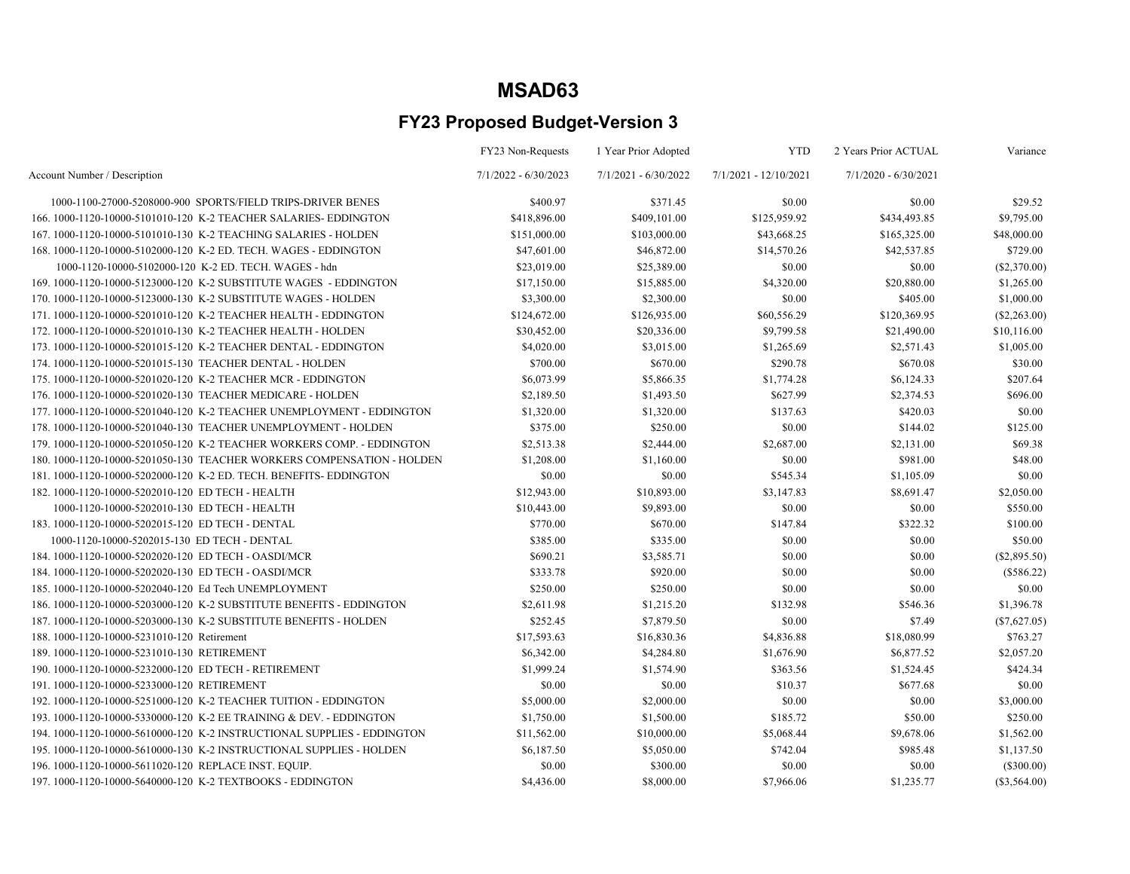|                                                                        | FY23 Non-Requests      | 1 Year Prior Adopted   | <b>YTD</b>            | 2 Years Prior ACTUAL   | Variance       |
|------------------------------------------------------------------------|------------------------|------------------------|-----------------------|------------------------|----------------|
| Account Number / Description                                           | $7/1/2022 - 6/30/2023$ | $7/1/2021 - 6/30/2022$ | 7/1/2021 - 12/10/2021 | $7/1/2020 - 6/30/2021$ |                |
| 1000-1100-27000-5208000-900 SPORTS/FIELD TRIPS-DRIVER BENES            | \$400.97               | \$371.45               | \$0.00                | \$0.00                 | \$29.52        |
| 166, 1000-1120-10000-5101010-120 K-2 TEACHER SALARIES-EDDINGTON        | \$418,896.00           | \$409,101.00           | \$125,959.92          | \$434,493.85           | \$9,795.00     |
| 167. 1000-1120-10000-5101010-130 K-2 TEACHING SALARIES - HOLDEN        | \$151,000.00           | \$103,000.00           | \$43,668.25           | \$165,325.00           | \$48,000.00    |
| 168, 1000-1120-10000-5102000-120 K-2 ED. TECH. WAGES - EDDINGTON       | \$47,601.00            | \$46,872.00            | \$14,570.26           | \$42,537.85            | \$729.00       |
| 1000-1120-10000-5102000-120 K-2 ED. TECH. WAGES - hdn                  | \$23,019.00            | \$25,389.00            | \$0.00                | \$0.00                 | (\$2,370.00)   |
| 169.1000-1120-10000-5123000-120 K-2 SUBSTITUTE WAGES - EDDINGTON       | \$17,150.00            | \$15,885.00            | \$4,320.00            | \$20,880.00            | \$1,265.00     |
| 170. 1000-1120-10000-5123000-130 K-2 SUBSTITUTE WAGES - HOLDEN         | \$3,300.00             | \$2,300.00             | \$0.00                | \$405.00               | \$1,000.00     |
| 171. 1000-1120-10000-5201010-120 K-2 TEACHER HEALTH - EDDINGTON        | \$124,672.00           | \$126,935.00           | \$60,556.29           | \$120,369.95           | $(\$2,263.00)$ |
| 172. 1000-1120-10000-5201010-130 K-2 TEACHER HEALTH - HOLDEN           | \$30,452.00            | \$20,336.00            | \$9,799.58            | \$21,490.00            | \$10,116.00    |
| 173. 1000-1120-10000-5201015-120 K-2 TEACHER DENTAL - EDDINGTON        | \$4,020.00             | \$3,015.00             | \$1,265.69            | \$2,571.43             | \$1,005.00     |
| 174. 1000-1120-10000-5201015-130 TEACHER DENTAL - HOLDEN               | \$700.00               | \$670.00               | \$290.78              | \$670.08               | \$30.00        |
| 175. 1000-1120-10000-5201020-120 K-2 TEACHER MCR - EDDINGTON           | \$6,073.99             | \$5,866.35             | \$1,774.28            | \$6,124.33             | \$207.64       |
| 176, 1000-1120-10000-5201020-130 TEACHER MEDICARE - HOLDEN             | \$2,189.50             | \$1,493.50             | \$627.99              | \$2,374.53             | \$696.00       |
| 177. 1000-1120-10000-5201040-120 K-2 TEACHER UNEMPLOYMENT - EDDINGTON  | \$1,320.00             | \$1,320.00             | \$137.63              | \$420.03               | \$0.00         |
| 178. 1000-1120-10000-5201040-130 TEACHER UNEMPLOYMENT - HOLDEN         | \$375.00               | \$250.00               | \$0.00                | \$144.02               | \$125.00       |
| 179. 1000-1120-10000-5201050-120 K-2 TEACHER WORKERS COMP. - EDDINGTON | \$2,513.38             | \$2,444.00             | \$2,687.00            | \$2,131.00             | \$69.38        |
| 180, 1000-1120-10000-5201050-130 TEACHER WORKERS COMPENSATION - HOLDEN | \$1,208.00             | \$1,160.00             | \$0.00                | \$981.00               | \$48.00        |
| 181.1000-1120-10000-5202000-120 K-2 ED. TECH. BENEFITS-EDDINGTON       | \$0.00                 | \$0.00                 | \$545.34              | \$1,105.09             | \$0.00         |
| 182. 1000-1120-10000-5202010-120 ED TECH - HEALTH                      | \$12,943.00            | \$10,893.00            | \$3,147.83            | \$8,691.47             | \$2,050.00     |
| 1000-1120-10000-5202010-130 ED TECH - HEALTH                           | \$10,443.00            | \$9,893.00             | \$0.00                | \$0.00                 | \$550.00       |
| 183. 1000-1120-10000-5202015-120 ED TECH - DENTAL                      | \$770.00               | \$670.00               | \$147.84              | \$322.32               | \$100.00       |
| 1000-1120-10000-5202015-130 ED TECH - DENTAL                           | \$385.00               | \$335.00               | \$0.00                | \$0.00                 | \$50.00        |
| 184. 1000-1120-10000-5202020-120 ED TECH - OASDI/MCR                   | \$690.21               | \$3,585.71             | \$0.00                | \$0.00                 | $(\$2,895.50)$ |
| 184. 1000-1120-10000-5202020-130 ED TECH - OASDI/MCR                   | \$333.78               | \$920.00               | \$0.00                | \$0.00                 | $(\$586.22)$   |
| 185.1000-1120-10000-5202040-120 Ed Tech UNEMPLOYMENT                   | \$250.00               | \$250.00               | \$0.00                | \$0.00                 | \$0.00         |
| 186, 1000-1120-10000-5203000-120 K-2 SUBSTITUTE BENEFITS - EDDINGTON   | \$2,611.98             | \$1,215.20             | \$132.98              | \$546.36               | \$1,396.78     |
| 187.1000-1120-10000-5203000-130 K-2 SUBSTITUTE BENEFITS - HOLDEN       | \$252.45               | \$7,879.50             | \$0.00                | \$7.49                 | (\$7,627.05)   |
| 188.1000-1120-10000-5231010-120 Retirement                             | \$17,593.63            | \$16,830.36            | \$4,836.88            | \$18,080.99            | \$763.27       |
| 189.1000-1120-10000-5231010-130 RETIREMENT                             | \$6,342.00             | \$4,284.80             | \$1,676.90            | \$6,877.52             | \$2,057.20     |
| 190. 1000-1120-10000-5232000-120 ED TECH - RETIREMENT                  | \$1,999.24             | \$1,574.90             | \$363.56              | \$1,524.45             | \$424.34       |
| 191.1000-1120-10000-5233000-120 RETIREMENT                             | \$0.00                 | \$0.00                 | \$10.37               | \$677.68               | \$0.00         |
| 192. 1000-1120-10000-5251000-120 K-2 TEACHER TUITION - EDDINGTON       | \$5,000.00             | \$2,000.00             | \$0.00                | \$0.00                 | \$3,000.00     |
| 193. 1000-1120-10000-5330000-120 K-2 EE TRAINING & DEV. - EDDINGTON    | \$1,750.00             | \$1,500.00             | \$185.72              | \$50.00                | \$250.00       |
| 194.1000-1120-10000-5610000-120 K-2 INSTRUCTIONAL SUPPLIES - EDDINGTON | \$11,562.00            | \$10,000.00            | \$5,068.44            | \$9,678.06             | \$1,562.00     |
| 195. 1000-1120-10000-5610000-130 K-2 INSTRUCTIONAL SUPPLIES - HOLDEN   | \$6,187.50             | \$5,050.00             | \$742.04              | \$985.48               | \$1,137.50     |
| 196. 1000-1120-10000-5611020-120 REPLACE INST. EQUIP.                  | \$0.00                 | \$300.00               | \$0.00                | \$0.00                 | (\$300.00)     |
| 197, 1000-1120-10000-5640000-120 K-2 TEXTBOOKS - EDDINGTON             | \$4,436.00             | \$8,000.00             | \$7,966.06            | \$1,235.77             | (S3.564.00)    |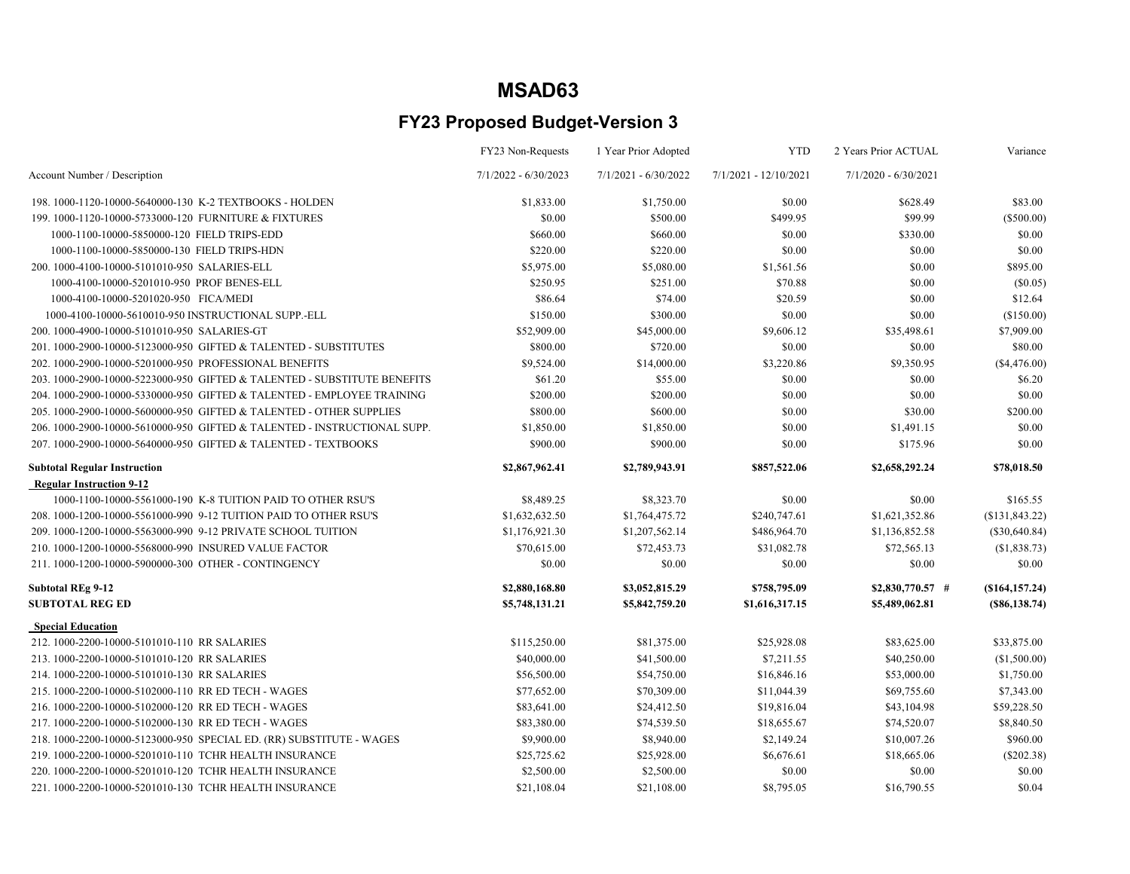|                                                                         | FY23 Non-Requests    | 1 Year Prior Adopted | <b>YTD</b>            | 2 Years Prior ACTUAL | Variance            |
|-------------------------------------------------------------------------|----------------------|----------------------|-----------------------|----------------------|---------------------|
| Account Number / Description                                            | 7/1/2022 - 6/30/2023 | 7/1/2021 - 6/30/2022 | 7/1/2021 - 12/10/2021 | 7/1/2020 - 6/30/2021 |                     |
| 198.1000-1120-10000-5640000-130 K-2 TEXTBOOKS - HOLDEN                  | \$1,833.00           | \$1,750.00           | \$0.00                | \$628.49             | \$83.00             |
| 199. 1000-1120-10000-5733000-120 FURNITURE & FIXTURES                   | \$0.00               | \$500.00             | \$499.95              | \$99.99              | $(\$500.00)$        |
| 1000-1100-10000-5850000-120 FIELD TRIPS-EDD                             | \$660.00             | \$660.00             | \$0.00                | \$330.00             | \$0.00              |
| 1000-1100-10000-5850000-130 FIELD TRIPS-HDN                             | \$220.00             | \$220.00             | \$0.00                | \$0.00               | \$0.00              |
| 200.1000-4100-10000-5101010-950 SALARIES-ELL                            | \$5,975.00           | \$5,080.00           | \$1,561.56            | \$0.00               | \$895.00            |
| 1000-4100-10000-5201010-950 PROF BENES-ELL                              | \$250.95             | \$251.00             | \$70.88               | \$0.00               | (\$0.05)            |
| 1000-4100-10000-5201020-950 FICA/MEDI                                   | \$86.64              | \$74.00              | \$20.59               | \$0.00               | \$12.64             |
| 1000-4100-10000-5610010-950 INSTRUCTIONAL SUPP.-ELL                     | \$150.00             | \$300.00             | \$0.00                | \$0.00               | (\$150.00)          |
| 200.1000-4900-10000-5101010-950 SALARIES-GT                             | \$52,909.00          | \$45,000.00          | \$9,606.12            | \$35,498.61          | \$7,909.00          |
| 201.1000-2900-10000-5123000-950 GIFTED & TALENTED - SUBSTITUTES         | \$800.00             | \$720.00             | \$0.00                | \$0.00               | \$80.00             |
| 202. 1000-2900-10000-5201000-950 PROFESSIONAL BENEFITS                  | \$9,524.00           | \$14,000.00          | \$3,220.86            | \$9,350.95           | (\$4,476.00)        |
| 203.1000-2900-10000-5223000-950 GIFTED & TALENTED - SUBSTITUTE BENEFITS | \$61.20              | \$55.00              | \$0.00                | \$0.00               | \$6.20              |
| 204.1000-2900-10000-5330000-950 GIFTED & TALENTED - EMPLOYEE TRAINING   | \$200.00             | \$200.00             | \$0.00                | \$0.00               | \$0.00              |
| 205.1000-2900-10000-5600000-950 GIFTED & TALENTED - OTHER SUPPLIES      | \$800.00             | \$600.00             | \$0.00                | \$30.00              | \$200.00            |
| 206.1000-2900-10000-5610000-950 GIFTED & TALENTED - INSTRUCTIONAL SUPP. | \$1,850.00           | \$1,850.00           | \$0.00                | \$1,491.15           | \$0.00              |
| 207.1000-2900-10000-5640000-950 GIFTED & TALENTED - TEXTBOOKS           | \$900.00             | \$900.00             | \$0.00                | \$175.96             | \$0.00              |
| <b>Subtotal Regular Instruction</b>                                     | \$2,867,962.41       | \$2,789,943.91       | \$857,522.06          | \$2,658,292.24       | \$78,018.50         |
| <b>Regular Instruction 9-12</b>                                         |                      |                      |                       |                      |                     |
| 1000-1100-10000-5561000-190 K-8 TUITION PAID TO OTHER RSU'S             | \$8,489.25           | \$8,323.70           | \$0.00                | \$0.00               | \$165.55            |
| 208, 1000-1200-10000-5561000-990 9-12 TUITION PAID TO OTHER RSU'S       | \$1,632,632.50       | \$1,764,475.72       | \$240,747.61          | \$1,621,352.86       | (S131, 843.22)      |
| 209. 1000-1200-10000-5563000-990 9-12 PRIVATE SCHOOL TUITION            | \$1,176,921.30       | \$1,207,562.14       | \$486,964.70          | \$1,136,852.58       | $(\$30,640.84)$     |
| 210. 1000-1200-10000-5568000-990 INSURED VALUE FACTOR                   | \$70,615.00          | \$72,453.73          | \$31,082.78           | \$72,565.13          | (\$1,838.73)        |
| 211.1000-1200-10000-5900000-300 OTHER - CONTINGENCY                     | \$0.00               | \$0.00               | \$0.00                | \$0.00               | \$0.00              |
| <b>Subtotal REg 9-12</b>                                                | \$2,880,168.80       | \$3,052,815.29       | \$758,795.09          | $$2,830,770.57$ #    | (\$164, 157.24)     |
| <b>SUBTOTAL REG ED</b>                                                  | \$5,748,131.21       | \$5,842,759.20       | \$1,616,317.15        | \$5,489,062.81       | $($ \$86,138.74 $)$ |
| <b>Special Education</b>                                                |                      |                      |                       |                      |                     |
| 212. 1000-2200-10000-5101010-110 RR SALARIES                            | \$115,250.00         | \$81,375.00          | \$25,928.08           | \$83,625.00          | \$33,875.00         |
| 213. 1000-2200-10000-5101010-120 RR SALARIES                            | \$40,000.00          | \$41,500.00          | \$7,211.55            | \$40,250.00          | (\$1,500.00)        |
| 214. 1000-2200-10000-5101010-130 RR SALARIES                            | \$56,500.00          | \$54,750.00          | \$16,846.16           | \$53,000.00          | \$1,750.00          |
| 215. 1000-2200-10000-5102000-110 RR ED TECH - WAGES                     | \$77,652.00          | \$70,309.00          | \$11,044.39           | \$69,755.60          | \$7,343.00          |
| 216.1000-2200-10000-5102000-120 RR ED TECH - WAGES                      | \$83,641.00          | \$24,412.50          | \$19,816.04           | \$43,104.98          | \$59,228.50         |
| 217.1000-2200-10000-5102000-130 RR ED TECH - WAGES                      | \$83,380.00          | \$74,539.50          | \$18,655.67           | \$74,520.07          | \$8,840.50          |
| 218. 1000-2200-10000-5123000-950 SPECIAL ED. (RR) SUBSTITUTE - WAGES    | \$9,900.00           | \$8,940.00           | \$2,149.24            | \$10,007.26          | \$960.00            |
| 219. 1000-2200-10000-5201010-110 TCHR HEALTH INSURANCE                  | \$25,725.62          | \$25,928.00          | \$6,676.61            | \$18,665.06          | $(\$202.38)$        |
| 220. 1000-2200-10000-5201010-120 TCHR HEALTH INSURANCE                  | \$2,500.00           | \$2,500.00           | \$0.00                | \$0.00               | \$0.00              |
| 221, 1000-2200-10000-5201010-130 TCHR HEALTH INSURANCE                  | \$21,108.04          | \$21,108.00          | \$8,795.05            | \$16,790.55          | \$0.04              |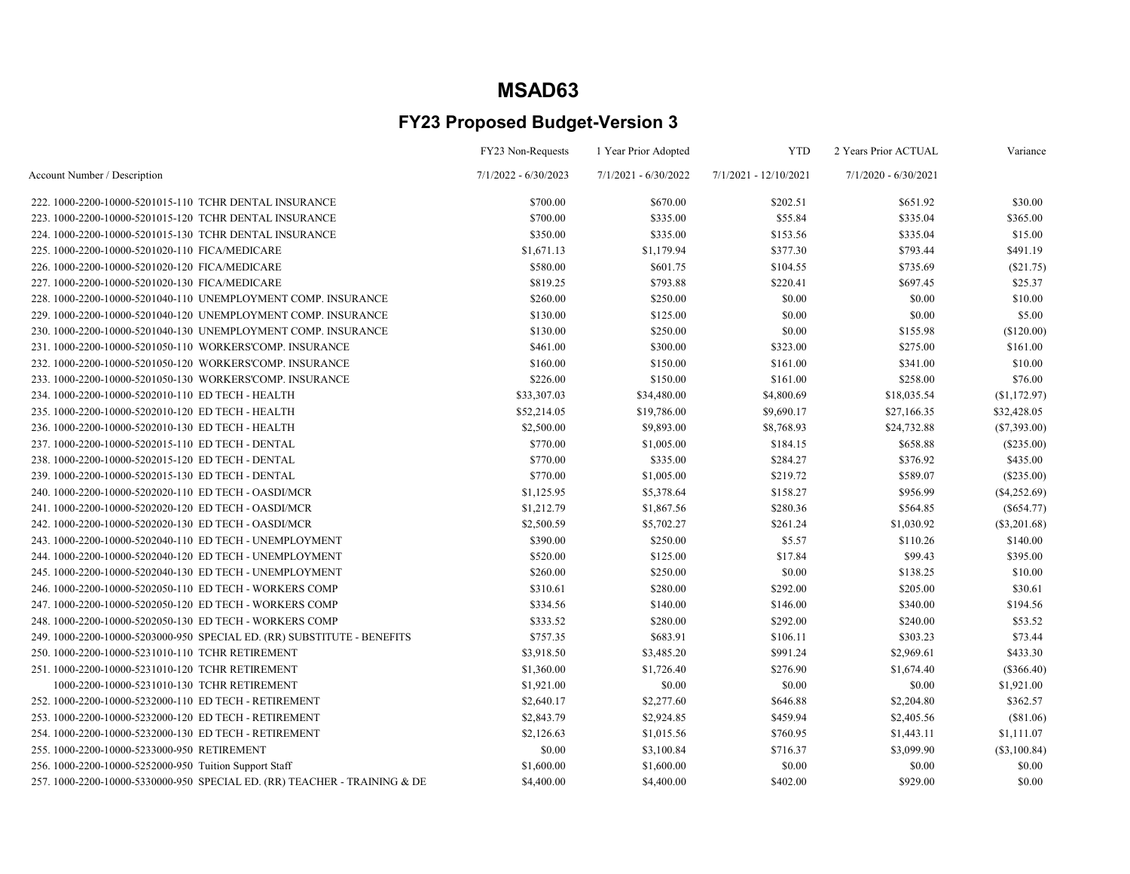|                                                                          | FY23 Non-Requests      | 1 Year Prior Adopted   | <b>YTD</b>            | 2 Years Prior ACTUAL   | Variance       |
|--------------------------------------------------------------------------|------------------------|------------------------|-----------------------|------------------------|----------------|
| Account Number / Description                                             | $7/1/2022 - 6/30/2023$ | $7/1/2021 - 6/30/2022$ | 7/1/2021 - 12/10/2021 | $7/1/2020 - 6/30/2021$ |                |
| 222. 1000-2200-10000-5201015-110 TCHR DENTAL INSURANCE                   | \$700.00               | \$670.00               | \$202.51              | \$651.92               | \$30.00        |
| 223, 1000-2200-10000-5201015-120 TCHR DENTAL INSURANCE                   | \$700.00               | \$335.00               | \$55.84               | \$335.04               | \$365.00       |
| 224. 1000-2200-10000-5201015-130 TCHR DENTAL INSURANCE                   | \$350.00               | \$335.00               | \$153.56              | \$335.04               | \$15.00        |
| 225.1000-2200-10000-5201020-110 FICA/MEDICARE                            | \$1,671.13             | \$1,179.94             | \$377.30              | \$793.44               | \$491.19       |
| 226.1000-2200-10000-5201020-120 FICA/MEDICARE                            | \$580.00               | \$601.75               | \$104.55              | \$735.69               | (\$21.75)      |
| 227.1000-2200-10000-5201020-130 FICA/MEDICARE                            | \$819.25               | \$793.88               | \$220.41              | \$697.45               | \$25.37        |
| 228. 1000-2200-10000-5201040-110 UNEMPLOYMENT COMP. INSURANCE            | \$260.00               | \$250.00               | \$0.00                | \$0.00                 | \$10.00        |
| 229. 1000-2200-10000-5201040-120 UNEMPLOYMENT COMP. INSURANCE            | \$130.00               | \$125.00               | \$0.00                | \$0.00                 | \$5.00         |
| 230. 1000-2200-10000-5201040-130 UNEMPLOYMENT COMP. INSURANCE            | \$130.00               | \$250.00               | \$0.00                | \$155.98               | (\$120.00)     |
| 231.1000-2200-10000-5201050-110 WORKERS'COMP. INSURANCE                  | \$461.00               | \$300.00               | \$323.00              | \$275.00               | \$161.00       |
| 232. 1000-2200-10000-5201050-120 WORKERS'COMP. INSURANCE                 | \$160.00               | \$150.00               | \$161.00              | \$341.00               | \$10.00        |
| 233.1000-2200-10000-5201050-130 WORKERS'COMP. INSURANCE                  | \$226.00               | \$150.00               | \$161.00              | \$258.00               | \$76.00        |
| 234.1000-2200-10000-5202010-110 ED TECH - HEALTH                         | \$33,307.03            | \$34,480.00            | \$4,800.69            | \$18,035.54            | (\$1,172.97)   |
| 235.1000-2200-10000-5202010-120 ED TECH - HEALTH                         | \$52,214.05            | \$19,786.00            | \$9,690.17            | \$27,166.35            | \$32,428.05    |
| 236. 1000-2200-10000-5202010-130 ED TECH - HEALTH                        | \$2,500.00             | \$9,893.00             | \$8,768.93            | \$24,732.88            | (S7, 393.00)   |
| 237. 1000-2200-10000-5202015-110 ED TECH - DENTAL                        | \$770.00               | \$1,005.00             | \$184.15              | \$658.88               | (\$235.00)     |
| 238. 1000-2200-10000-5202015-120 ED TECH - DENTAL                        | \$770.00               | \$335.00               | \$284.27              | \$376.92               | \$435.00       |
| 239. 1000-2200-10000-5202015-130 ED TECH - DENTAL                        | \$770.00               | \$1,005.00             | \$219.72              | \$589.07               | $(\$235.00)$   |
| 240. 1000-2200-10000-5202020-110 ED TECH - OASDI/MCR                     | \$1,125.95             | \$5,378.64             | \$158.27              | \$956.99               | $(\$4,252.69)$ |
| 241. 1000-2200-10000-5202020-120 ED TECH - OASDI/MCR                     | \$1,212.79             | \$1,867.56             | \$280.36              | \$564.85               | $(\$654.77)$   |
| 242. 1000-2200-10000-5202020-130 ED TECH - OASDI/MCR                     | \$2,500.59             | \$5,702.27             | \$261.24              | \$1,030.92             | $(\$3,201.68)$ |
| 243. 1000-2200-10000-5202040-110 ED TECH - UNEMPLOYMENT                  | \$390.00               | \$250.00               | \$5.57                | \$110.26               | \$140.00       |
| 244. 1000-2200-10000-5202040-120 ED TECH - UNEMPLOYMENT                  | \$520.00               | \$125.00               | \$17.84               | \$99.43                | \$395.00       |
| 245. 1000-2200-10000-5202040-130 ED TECH - UNEMPLOYMENT                  | \$260.00               | \$250.00               | \$0.00                | \$138.25               | \$10.00        |
| 246. 1000-2200-10000-5202050-110 ED TECH - WORKERS COMP                  | \$310.61               | \$280.00               | \$292.00              | \$205.00               | \$30.61        |
| 247. 1000-2200-10000-5202050-120 ED TECH - WORKERS COMP                  | \$334.56               | \$140.00               | \$146.00              | \$340.00               | \$194.56       |
| 248. 1000-2200-10000-5202050-130 ED TECH - WORKERS COMP                  | \$333.52               | \$280.00               | \$292.00              | \$240.00               | \$53.52        |
| 249. 1000-2200-10000-5203000-950 SPECIAL ED. (RR) SUBSTITUTE - BENEFITS  | \$757.35               | \$683.91               | \$106.11              | \$303.23               | \$73.44        |
| 250.1000-2200-10000-5231010-110 TCHR RETIREMENT                          | \$3,918.50             | \$3,485.20             | \$991.24              | \$2,969.61             | \$433.30       |
| 251.1000-2200-10000-5231010-120 TCHR RETIREMENT                          | \$1,360.00             | \$1,726.40             | \$276.90              | \$1,674.40             | (\$366.40)     |
| 1000-2200-10000-5231010-130 TCHR RETIREMENT                              | \$1,921.00             | \$0.00                 | \$0.00                | \$0.00                 | \$1,921.00     |
| 252. 1000-2200-10000-5232000-110 ED TECH - RETIREMENT                    | \$2,640.17             | \$2,277.60             | \$646.88              | \$2,204.80             | \$362.57       |
| 253. 1000-2200-10000-5232000-120 ED TECH - RETIREMENT                    | \$2,843.79             | \$2,924.85             | \$459.94              | \$2,405.56             | (\$81.06)      |
| 254. 1000-2200-10000-5232000-130 ED TECH - RETIREMENT                    | \$2,126.63             | \$1,015.56             | \$760.95              | \$1,443.11             | \$1,111.07     |
| 255.1000-2200-10000-5233000-950 RETIREMENT                               | \$0.00                 | \$3,100.84             | \$716.37              | \$3,099.90             | (\$3,100.84)   |
| 256. 1000-2200-10000-5252000-950 Tuition Support Staff                   | \$1,600.00             | \$1,600.00             | \$0.00                | \$0.00                 | \$0.00         |
| 257.1000-2200-10000-5330000-950 SPECIAL ED. (RR) TEACHER - TRAINING & DE | \$4,400.00             | \$4,400.00             | \$402.00              | \$929.00               | \$0.00         |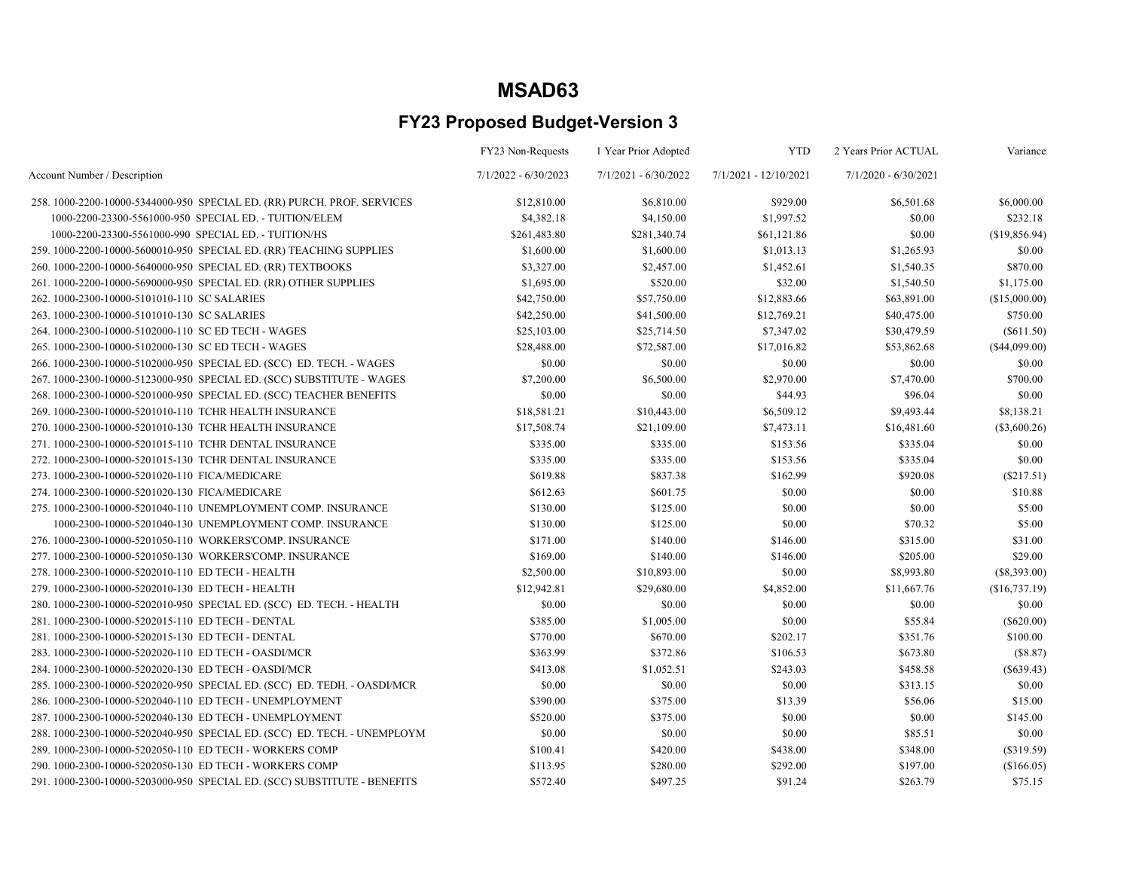|                                                                          | FY23 Non-Requests      | 1 Year Prior Adopted   | <b>YTD</b>            | 2 Years Prior ACTUAL   | Variance      |
|--------------------------------------------------------------------------|------------------------|------------------------|-----------------------|------------------------|---------------|
| Account Number / Description                                             | $7/1/2022 - 6/30/2023$ | $7/1/2021 - 6/30/2022$ | 7/1/2021 - 12/10/2021 | $7/1/2020 - 6/30/2021$ |               |
| 258. 1000-2200-10000-5344000-950 SPECIAL ED. (RR) PURCH. PROF. SERVICES  | \$12,810.00            | \$6,810.00             | \$929.00              | \$6,501.68             | \$6,000.00    |
| 1000-2200-23300-5561000-950 SPECIAL ED. - TUITION/ELEM                   | \$4,382.18             | \$4,150.00             | \$1,997.52            | \$0.00                 | \$232.18      |
| 1000-2200-23300-5561000-990 SPECIAL ED. - TUITION/HS                     | \$261,483.80           | \$281,340.74           | \$61,121.86           | \$0.00                 | (\$19,856.94) |
| 259. 1000-2200-10000-5600010-950 SPECIAL ED. (RR) TEACHING SUPPLIES      | \$1,600.00             | \$1,600.00             | \$1,013.13            | \$1,265.93             | \$0.00        |
| 260. 1000-2200-10000-5640000-950 SPECIAL ED. (RR) TEXTBOOKS              | \$3,327.00             | \$2,457.00             | \$1,452.61            | \$1,540.35             | \$870.00      |
| 261.1000-2200-10000-5690000-950 SPECIAL ED. (RR) OTHER SUPPLIES          | \$1,695.00             | \$520.00               | \$32.00               | \$1,540.50             | \$1,175.00    |
| 262. 1000-2300-10000-5101010-110 SC SALARIES                             | \$42,750.00            | \$57,750.00            | \$12,883.66           | \$63,891.00            | (\$15,000.00) |
| 263. 1000-2300-10000-5101010-130 SC SALARIES                             | \$42,250.00            | \$41,500.00            | \$12,769.21           | \$40,475.00            | \$750.00      |
| 264. 1000-2300-10000-5102000-110 SC ED TECH - WAGES                      | \$25,103.00            | \$25,714.50            | \$7,347.02            | \$30,479.59            | $(\$611.50)$  |
| 265. 1000-2300-10000-5102000-130 SC ED TECH - WAGES                      | \$28,488.00            | \$72,587.00            | \$17,016.82           | \$53,862.68            | (\$44,099.00) |
| 266. 1000-2300-10000-5102000-950 SPECIAL ED. (SCC) ED. TECH. - WAGES     | \$0.00                 | \$0.00                 | \$0.00                | \$0.00                 | \$0.00        |
| 267.1000-2300-10000-5123000-950 SPECIAL ED. (SCC) SUBSTITUTE - WAGES     | \$7,200.00             | \$6,500.00             | \$2,970.00            | \$7,470.00             | \$700.00      |
| 268. 1000-2300-10000-5201000-950 SPECIAL ED. (SCC) TEACHER BENEFITS      | \$0.00                 | \$0.00                 | \$44.93               | \$96.04                | \$0.00        |
| 269. 1000-2300-10000-5201010-110 TCHR HEALTH INSURANCE                   | \$18,581.21            | \$10,443.00            | \$6,509.12            | \$9,493.44             | \$8,138.21    |
| 270. 1000-2300-10000-5201010-130 TCHR HEALTH INSURANCE                   | \$17,508.74            | \$21,109.00            | \$7,473.11            | \$16,481.60            | (\$3,600.26)  |
| 271. 1000-2300-10000-5201015-110 TCHR DENTAL INSURANCE                   | \$335.00               | \$335.00               | \$153.56              | \$335.04               | \$0.00        |
| 272. 1000-2300-10000-5201015-130 TCHR DENTAL INSURANCE                   | \$335.00               | \$335.00               | \$153.56              | \$335.04               | \$0.00        |
| 273.1000-2300-10000-5201020-110 FICA/MEDICARE                            | \$619.88               | \$837.38               | \$162.99              | \$920.08               | (\$217.51)    |
| 274.1000-2300-10000-5201020-130 FICA/MEDICARE                            | \$612.63               | \$601.75               | \$0.00                | \$0.00                 | \$10.88       |
| 275. 1000-2300-10000-5201040-110 UNEMPLOYMENT COMP. INSURANCE            | \$130.00               | \$125.00               | \$0.00                | \$0.00                 | \$5.00        |
| 1000-2300-10000-5201040-130 UNEMPLOYMENT COMP. INSURANCE                 | \$130.00               | \$125.00               | \$0.00                | \$70.32                | \$5.00        |
| 276. 1000-2300-10000-5201050-110 WORKERS'COMP. INSURANCE                 | \$171.00               | \$140.00               | \$146.00              | \$315.00               | \$31.00       |
| 277.1000-2300-10000-5201050-130 WORKERS'COMP. INSURANCE                  | \$169.00               | \$140.00               | \$146.00              | \$205.00               | \$29.00       |
| 278. 1000-2300-10000-5202010-110 ED TECH - HEALTH                        | \$2,500.00             | \$10,893.00            | \$0.00                | \$8,993.80             | (S8, 393.00)  |
| 279. 1000-2300-10000-5202010-130 ED TECH - HEALTH                        | \$12,942.81            | \$29,680.00            | \$4,852.00            | \$11,667.76            | (\$16,737.19) |
| 280. 1000-2300-10000-5202010-950 SPECIAL ED. (SCC) ED. TECH. - HEALTH    | \$0.00                 | \$0.00                 | \$0.00                | \$0.00                 | \$0.00        |
| 281.1000-2300-10000-5202015-110 ED TECH - DENTAL                         | \$385.00               | \$1,005.00             | \$0.00                | \$55.84                | $(\$620.00)$  |
| 281. 1000-2300-10000-5202015-130 ED TECH - DENTAL                        | \$770.00               | \$670.00               | \$202.17              | \$351.76               | \$100.00      |
| 283. 1000-2300-10000-5202020-110 ED TECH - OASDI/MCR                     | \$363.99               | \$372.86               | \$106.53              | \$673.80               | (\$8.87)      |
| 284. 1000-2300-10000-5202020-130 ED TECH - OASDI/MCR                     | \$413.08               | \$1,052.51             | \$243.03              | \$458.58               | $(\$639.43)$  |
| 285.1000-2300-10000-5202020-950 SPECIAL ED. (SCC) ED. TEDH. - OASDI/MCR  | \$0.00                 | \$0.00                 | \$0.00                | \$313.15               | \$0.00        |
| 286.1000-2300-10000-5202040-110 ED TECH - UNEMPLOYMENT                   | \$390.00               | \$375.00               | \$13.39               | \$56.06                | \$15.00       |
| 287. 1000-2300-10000-5202040-130 ED TECH - UNEMPLOYMENT                  | \$520.00               | \$375.00               | \$0.00                | \$0.00                 | \$145.00      |
| 288.1000-2300-10000-5202040-950 SPECIAL ED. (SCC) ED. TECH. - UNEMPLOYM  | \$0.00                 | \$0.00                 | \$0.00                | \$85.51                | \$0.00        |
| 289. 1000-2300-10000-5202050-110 ED TECH - WORKERS COMP                  | \$100.41               | \$420.00               | \$438.00              | \$348.00               | (\$319.59)    |
| 290. 1000-2300-10000-5202050-130 ED TECH - WORKERS COMP                  | \$113.95               | \$280.00               | \$292.00              | \$197.00               | (\$166.05)    |
| 291. 1000-2300-10000-5203000-950 SPECIAL ED. (SCC) SUBSTITUTE - BENEFITS | \$572.40               | \$497.25               | \$91.24               | \$263.79               | \$75.15       |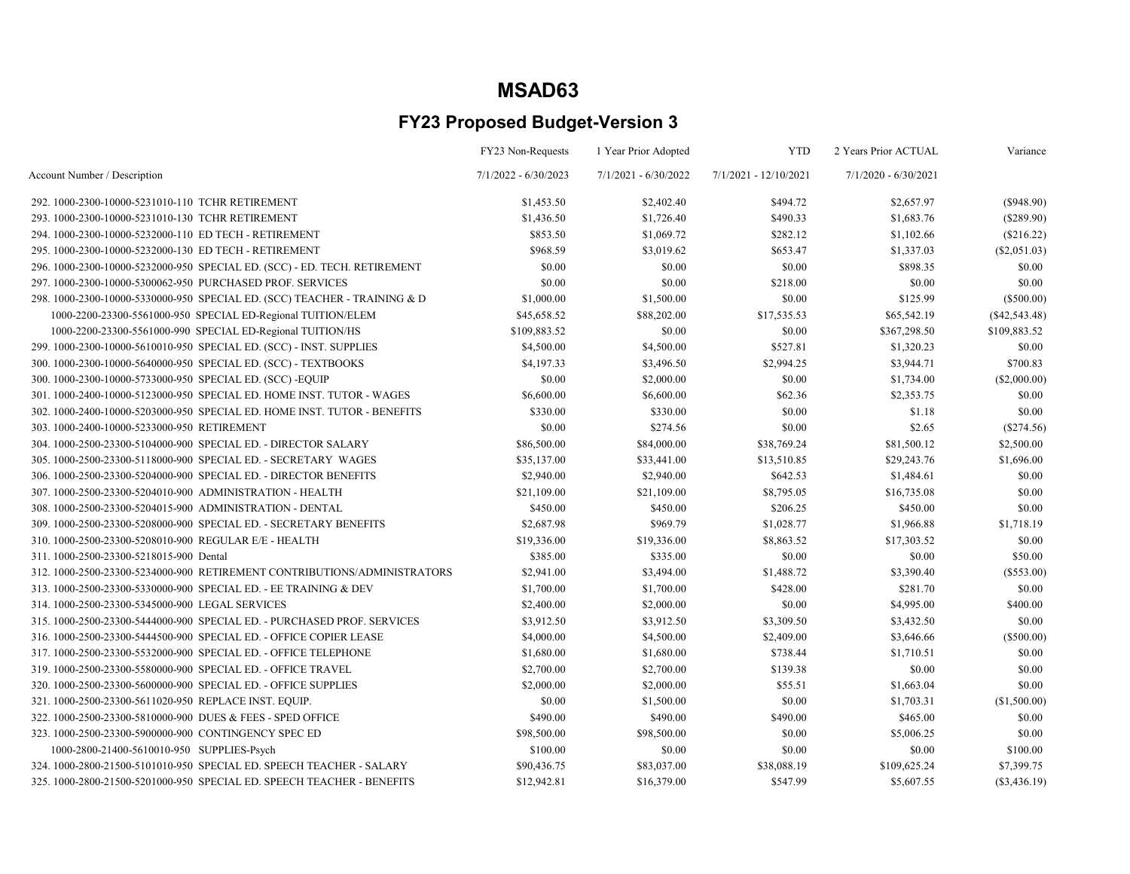|                                                                           | FY23 Non-Requests      | 1 Year Prior Adopted   | <b>YTD</b>            | 2 Years Prior ACTUAL   | Variance        |
|---------------------------------------------------------------------------|------------------------|------------------------|-----------------------|------------------------|-----------------|
| Account Number / Description                                              | $7/1/2022 - 6/30/2023$ | $7/1/2021 - 6/30/2022$ | 7/1/2021 - 12/10/2021 | $7/1/2020 - 6/30/2021$ |                 |
| 292. 1000-2300-10000-5231010-110 TCHR RETIREMENT                          | \$1,453.50             | \$2,402.40             | \$494.72              | \$2,657.97             | (\$948.90)      |
| 293.1000-2300-10000-5231010-130 TCHR RETIREMENT                           | \$1,436.50             | \$1,726.40             | \$490.33              | \$1,683.76             | $(\$289.90)$    |
| 294. 1000-2300-10000-5232000-110 ED TECH - RETIREMENT                     | \$853.50               | \$1,069.72             | \$282.12              | \$1,102.66             | (\$216.22)      |
| 295.1000-2300-10000-5232000-130 ED TECH - RETIREMENT                      | \$968.59               | \$3,019.62             | \$653.47              | \$1,337.03             | (\$2,051.03)    |
| 296. 1000-2300-10000-5232000-950 SPECIAL ED. (SCC) - ED. TECH. RETIREMENT | \$0.00                 | \$0.00                 | \$0.00                | \$898.35               | \$0.00          |
| 297. 1000-2300-10000-5300062-950 PURCHASED PROF. SERVICES                 | \$0.00                 | \$0.00                 | \$218.00              | \$0.00                 | \$0.00          |
| 298. 1000-2300-10000-5330000-950 SPECIAL ED. (SCC) TEACHER - TRAINING & D | \$1,000.00             | \$1,500.00             | \$0.00                | \$125.99               | $(\$500.00)$    |
| 1000-2200-23300-5561000-950 SPECIAL ED-Regional TUITION/ELEM              | \$45,658.52            | \$88,202.00            | \$17,535.53           | \$65,542.19            | $(\$42,543.48)$ |
| 1000-2200-23300-5561000-990 SPECIAL ED-Regional TUITION/HS                | \$109,883.52           | \$0.00                 | \$0.00                | \$367,298.50           | \$109,883.52    |
| 299. 1000-2300-10000-5610010-950 SPECIAL ED. (SCC) - INST. SUPPLIES       | \$4,500.00             | \$4,500.00             | \$527.81              | \$1,320.23             | \$0.00          |
| 300. 1000-2300-10000-5640000-950 SPECIAL ED. (SCC) - TEXTBOOKS            | \$4,197.33             | \$3,496.50             | \$2,994.25            | \$3,944.71             | \$700.83        |
| 300. 1000-2300-10000-5733000-950 SPECIAL ED. (SCC)-EQUIP                  | \$0.00                 | \$2,000.00             | \$0.00                | \$1,734.00             | (\$2,000.00)    |
| 301.1000-2400-10000-5123000-950 SPECIAL ED. HOME INST. TUTOR - WAGES      | \$6,600.00             | \$6,600.00             | \$62.36               | \$2,353.75             | \$0.00          |
| 302. 1000-2400-10000-5203000-950 SPECIAL ED. HOME INST. TUTOR - BENEFITS  | \$330.00               | \$330.00               | \$0.00                | \$1.18                 | \$0.00          |
| 303.1000-2400-10000-5233000-950 RETIREMENT                                | \$0.00                 | \$274.56               | \$0.00                | \$2.65                 | $(\$274.56)$    |
| 304.1000-2500-23300-5104000-900 SPECIAL ED. - DIRECTOR SALARY             | \$86,500.00            | \$84,000.00            | \$38,769.24           | \$81,500.12            | \$2,500.00      |
| 305.1000-2500-23300-5118000-900 SPECIAL ED. - SECRETARY WAGES             | \$35,137.00            | \$33,441.00            | \$13,510.85           | \$29,243.76            | \$1,696.00      |
| 306. 1000-2500-23300-5204000-900 SPECIAL ED. - DIRECTOR BENEFITS          | \$2,940.00             | \$2,940.00             | \$642.53              | \$1,484.61             | \$0.00          |
| 307.1000-2500-23300-5204010-900 ADMINISTRATION - HEALTH                   | \$21,109.00            | \$21,109.00            | \$8,795.05            | \$16,735.08            | \$0.00          |
| 308.1000-2500-23300-5204015-900 ADMINISTRATION - DENTAL                   | \$450.00               | \$450.00               | \$206.25              | \$450.00               | \$0.00          |
| 309. 1000-2500-23300-5208000-900 SPECIAL ED. - SECRETARY BENEFITS         | \$2,687.98             | \$969.79               | \$1,028.77            | \$1,966.88             | \$1,718.19      |
| 310. 1000-2500-23300-5208010-900 REGULAR E/E - HEALTH                     | \$19,336.00            | \$19,336.00            | \$8,863.52            | \$17,303.52            | \$0.00          |
| 311.1000-2500-23300-5218015-900 Dental                                    | \$385.00               | \$335.00               | \$0.00                | \$0.00                 | \$50.00         |
| 312.1000-2500-23300-5234000-900 RETIREMENT CONTRIBUTIONS/ADMINISTRATORS   | \$2,941.00             | \$3,494.00             | \$1,488.72            | \$3,390.40             | $(\$553.00)$    |
| 313.1000-2500-23300-5330000-900 SPECIAL ED. - EE TRAINING & DEV           | \$1,700.00             | \$1,700.00             | \$428.00              | \$281.70               | \$0.00          |
| 314.1000-2500-23300-5345000-900 LEGAL SERVICES                            | \$2,400.00             | \$2,000.00             | \$0.00                | \$4,995.00             | \$400.00        |
| 315.1000-2500-23300-5444000-900 SPECIAL ED. - PURCHASED PROF. SERVICES    | \$3,912.50             | \$3,912.50             | \$3,309.50            | \$3,432.50             | \$0.00          |
| 316, 1000-2500-23300-5444500-900 SPECIAL ED. - OFFICE COPIER LEASE        | \$4,000.00             | \$4,500.00             | \$2,409.00            | \$3,646.66             | $(\$500.00)$    |
| 317. 1000-2500-23300-5532000-900 SPECIAL ED. - OFFICE TELEPHONE           | \$1,680.00             | \$1,680.00             | \$738.44              | \$1,710.51             | \$0.00          |
| 319. 1000-2500-23300-5580000-900 SPECIAL ED. - OFFICE TRAVEL              | \$2,700.00             | \$2,700.00             | \$139.38              | \$0.00                 | \$0.00          |
| 320. 1000-2500-23300-5600000-900 SPECIAL ED. - OFFICE SUPPLIES            | \$2,000.00             | \$2,000.00             | \$55.51               | \$1,663.04             | \$0.00          |
| 321. 1000-2500-23300-5611020-950 REPLACE INST. EQUIP.                     | \$0.00                 | \$1,500.00             | \$0.00                | \$1,703.31             | (\$1,500.00)    |
| 322. 1000-2500-23300-5810000-900 DUES & FEES - SPED OFFICE                | \$490.00               | \$490.00               | \$490.00              | \$465.00               | \$0.00          |
| 323. 1000-2500-23300-5900000-900 CONTINGENCY SPEC ED                      | \$98,500.00            | \$98,500.00            | \$0.00                | \$5,006.25             | \$0.00          |
| 1000-2800-21400-5610010-950 SUPPLIES-Psych                                | \$100.00               | \$0.00                 | \$0.00                | \$0.00                 | \$100.00        |
| 324. 1000-2800-21500-5101010-950 SPECIAL ED. SPEECH TEACHER - SALARY      | \$90,436.75            | \$83,037.00            | \$38,088.19           | \$109,625.24           | \$7,399.75      |
| 325. 1000-2800-21500-5201000-950 SPECIAL ED. SPEECH TEACHER - BENEFITS    | \$12,942.81            | \$16,379.00            | \$547.99              | \$5,607.55             | $(\$3,436.19)$  |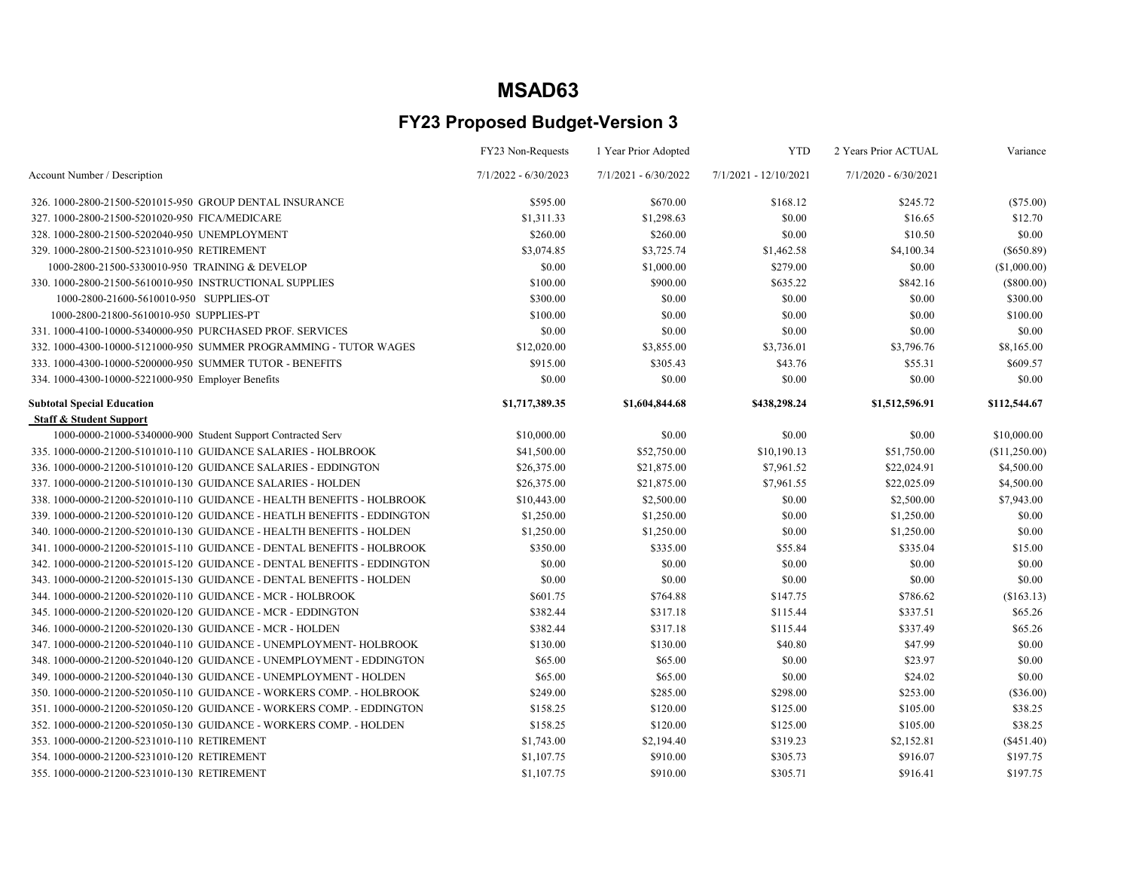|                                                                         | FY23 Non-Requests      | 1 Year Prior Adopted   | <b>YTD</b>              | 2 Years Prior ACTUAL   | Variance      |
|-------------------------------------------------------------------------|------------------------|------------------------|-------------------------|------------------------|---------------|
| Account Number / Description                                            | $7/1/2022 - 6/30/2023$ | $7/1/2021 - 6/30/2022$ | $7/1/2021 - 12/10/2021$ | $7/1/2020 - 6/30/2021$ |               |
| 326, 1000-2800-21500-5201015-950 GROUP DENTAL INSURANCE                 | \$595.00               | \$670.00               | \$168.12                | \$245.72               | $(\$75.00)$   |
| 327.1000-2800-21500-5201020-950 FICA/MEDICARE                           | \$1,311.33             | \$1,298.63             | \$0.00                  | \$16.65                | \$12.70       |
| 328.1000-2800-21500-5202040-950 UNEMPLOYMENT                            | \$260.00               | \$260.00               | \$0.00                  | \$10.50                | \$0.00        |
| 329.1000-2800-21500-5231010-950 RETIREMENT                              | \$3,074.85             | \$3,725.74             | \$1,462.58              | \$4,100.34             | $(\$650.89)$  |
| 1000-2800-21500-5330010-950 TRAINING & DEVELOP                          | \$0.00                 | \$1,000.00             | \$279.00                | \$0.00                 | (\$1,000.00)  |
| 330. 1000-2800-21500-5610010-950 INSTRUCTIONAL SUPPLIES                 | \$100.00               | \$900.00               | \$635.22                | \$842.16               | $(\$800.00)$  |
| 1000-2800-21600-5610010-950 SUPPLIES-OT                                 | \$300.00               | \$0.00                 | \$0.00                  | \$0.00                 | \$300.00      |
| 1000-2800-21800-5610010-950 SUPPLIES-PT                                 | \$100.00               | \$0.00                 | \$0.00                  | \$0.00                 | \$100.00      |
| 331.1000-4100-10000-5340000-950 PURCHASED PROF. SERVICES                | \$0.00                 | \$0.00                 | \$0.00                  | \$0.00                 | \$0.00        |
| 332.1000-4300-10000-5121000-950 SUMMER PROGRAMMING - TUTOR WAGES        | \$12,020.00            | \$3,855.00             | \$3,736.01              | \$3,796.76             | \$8,165.00    |
| 333. 1000-4300-10000-5200000-950 SUMMER TUTOR - BENEFITS                | \$915.00               | \$305.43               | \$43.76                 | \$55.31                | \$609.57      |
| 334. 1000-4300-10000-5221000-950 Employer Benefits                      | \$0.00                 | \$0.00                 | \$0.00                  | \$0.00                 | \$0.00        |
| <b>Subtotal Special Education</b>                                       | \$1,717,389.35         | \$1,604,844.68         | \$438,298.24            | \$1,512,596.91         | \$112,544.67  |
| <b>Staff &amp; Student Support</b>                                      |                        |                        |                         |                        |               |
| 1000-0000-21000-5340000-900 Student Support Contracted Serv             | \$10,000.00            | \$0.00                 | \$0.00                  | \$0.00                 | \$10,000.00   |
| 335. 1000-0000-21200-5101010-110 GUIDANCE SALARIES - HOLBROOK           | \$41,500.00            | \$52,750.00            | \$10,190.13             | \$51,750.00            | (\$11,250.00) |
| 336. 1000-0000-21200-5101010-120 GUIDANCE SALARIES - EDDINGTON          | \$26,375.00            | \$21,875.00            | \$7,961.52              | \$22,024.91            | \$4,500.00    |
| 337. 1000-0000-21200-5101010-130 GUIDANCE SALARIES - HOLDEN             | \$26,375.00            | \$21,875.00            | \$7,961.55              | \$22,025.09            | \$4,500.00    |
| 338. 1000-0000-21200-5201010-110 GUIDANCE - HEALTH BENEFITS - HOLBROOK  | \$10,443.00            | \$2,500.00             | \$0.00                  | \$2,500.00             | \$7,943.00    |
| 339. 1000-0000-21200-5201010-120 GUIDANCE - HEATLH BENEFITS - EDDINGTON | \$1,250.00             | \$1,250.00             | \$0.00                  | \$1,250.00             | \$0.00        |
| 340. 1000-0000-21200-5201010-130 GUIDANCE - HEALTH BENEFITS - HOLDEN    | \$1,250.00             | \$1,250.00             | \$0.00                  | \$1,250.00             | \$0.00        |
| 341. 1000-0000-21200-5201015-110 GUIDANCE - DENTAL BENEFITS - HOLBROOK  | \$350.00               | \$335.00               | \$55.84                 | \$335.04               | \$15.00       |
| 342. 1000-0000-21200-5201015-120 GUIDANCE - DENTAL BENEFITS - EDDINGTON | \$0.00                 | \$0.00                 | \$0.00                  | \$0.00                 | \$0.00        |
| 343. 1000-0000-21200-5201015-130 GUIDANCE - DENTAL BENEFITS - HOLDEN    | \$0.00                 | \$0.00                 | \$0.00                  | \$0.00                 | \$0.00        |
| 344. 1000-0000-21200-5201020-110 GUIDANCE - MCR - HOLBROOK              | \$601.75               | \$764.88               | \$147.75                | \$786.62               | (\$163.13)    |
| 345. 1000-0000-21200-5201020-120 GUIDANCE - MCR - EDDINGTON             | \$382.44               | \$317.18               | \$115.44                | \$337.51               | \$65.26       |
| 346. 1000-0000-21200-5201020-130 GUIDANCE - MCR - HOLDEN                | \$382.44               | \$317.18               | \$115.44                | \$337.49               | \$65.26       |
| 347.1000-0000-21200-5201040-110 GUIDANCE - UNEMPLOYMENT- HOLBROOK       | \$130.00               | \$130.00               | \$40.80                 | \$47.99                | \$0.00        |
| 348.1000-0000-21200-5201040-120 GUIDANCE - UNEMPLOYMENT - EDDINGTON     | \$65.00                | \$65.00                | \$0.00                  | \$23.97                | \$0.00        |
| 349.1000-0000-21200-5201040-130 GUIDANCE - UNEMPLOYMENT - HOLDEN        | \$65.00                | \$65.00                | \$0.00                  | \$24.02                | \$0.00        |
| 350, 1000-0000-21200-5201050-110 GUIDANCE - WORKERS COMP. - HOLBROOK    | \$249.00               | \$285.00               | \$298.00                | \$253.00               | $(\$36.00)$   |
| 351, 1000-0000-21200-5201050-120 GUIDANCE - WORKERS COMP. - EDDINGTON   | \$158.25               | \$120.00               | \$125.00                | \$105.00               | \$38.25       |
| 352.1000-0000-21200-5201050-130 GUIDANCE - WORKERS COMP. - HOLDEN       | \$158.25               | \$120.00               | \$125.00                | \$105.00               | \$38.25       |
| 353.1000-0000-21200-5231010-110 RETIREMENT                              | \$1,743.00             | \$2,194.40             | \$319.23                | \$2,152.81             | $(\$451.40)$  |
| 354.1000-0000-21200-5231010-120 RETIREMENT                              | \$1,107.75             | \$910.00               | \$305.73                | \$916.07               | \$197.75      |
| 355.1000-0000-21200-5231010-130 RETIREMENT                              | \$1,107.75             | \$910.00               | \$305.71                | \$916.41               | \$197.75      |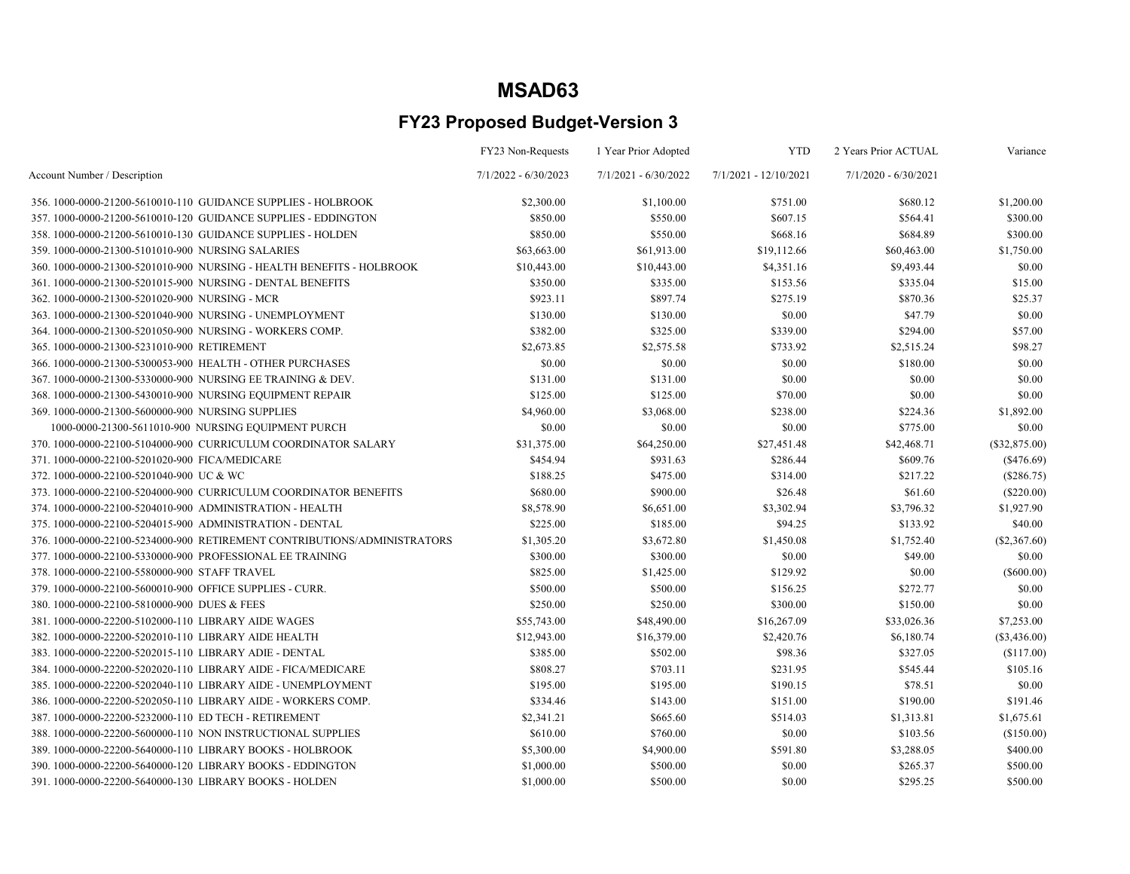|                                                                         | FY23 Non-Requests      | 1 Year Prior Adopted   | <b>YTD</b>            | 2 Years Prior ACTUAL   | Variance        |
|-------------------------------------------------------------------------|------------------------|------------------------|-----------------------|------------------------|-----------------|
| Account Number / Description                                            | $7/1/2022 - 6/30/2023$ | $7/1/2021 - 6/30/2022$ | 7/1/2021 - 12/10/2021 | $7/1/2020 - 6/30/2021$ |                 |
| 356, 1000-0000-21200-5610010-110 GUIDANCE SUPPLIES - HOLBROOK           | \$2,300.00             | \$1,100.00             | \$751.00              | \$680.12               | \$1,200.00      |
| 357.1000-0000-21200-5610010-120 GUIDANCE SUPPLIES - EDDINGTON           | \$850.00               | \$550.00               | \$607.15              | \$564.41               | \$300.00        |
| 358. 1000-0000-21200-5610010-130 GUIDANCE SUPPLIES - HOLDEN             | \$850.00               | \$550.00               | \$668.16              | \$684.89               | \$300.00        |
| 359.1000-0000-21300-5101010-900 NURSING SALARIES                        | \$63,663.00            | \$61,913.00            | \$19,112.66           | \$60,463.00            | \$1,750.00      |
| 360. 1000-0000-21300-5201010-900 NURSING - HEALTH BENEFITS - HOLBROOK   | \$10,443.00            | \$10,443.00            | \$4,351.16            | \$9,493.44             | \$0.00          |
| 361.1000-0000-21300-5201015-900 NURSING - DENTAL BENEFITS               | \$350.00               | \$335.00               | \$153.56              | \$335.04               | \$15.00         |
| 362. 1000-0000-21300-5201020-900 NURSING - MCR                          | \$923.11               | \$897.74               | \$275.19              | \$870.36               | \$25.37         |
| 363.1000-0000-21300-5201040-900 NURSING - UNEMPLOYMENT                  | \$130.00               | \$130.00               | \$0.00                | \$47.79                | \$0.00          |
| 364.1000-0000-21300-5201050-900 NURSING - WORKERS COMP.                 | \$382.00               | \$325.00               | \$339.00              | \$294.00               | \$57.00         |
| 365.1000-0000-21300-5231010-900 RETIREMENT                              | \$2,673.85             | \$2,575.58             | \$733.92              | \$2,515.24             | \$98.27         |
| 366. 1000-0000-21300-5300053-900 HEALTH - OTHER PURCHASES               | \$0.00                 | \$0.00                 | \$0.00                | \$180.00               | \$0.00          |
| 367, 1000-0000-21300-5330000-900 NURSING EE TRAINING & DEV.             | \$131.00               | \$131.00               | \$0.00                | \$0.00                 | \$0.00          |
| 368. 1000-0000-21300-5430010-900 NURSING EQUIPMENT REPAIR               | \$125.00               | \$125.00               | \$70.00               | \$0.00                 | \$0.00          |
| 369.1000-0000-21300-5600000-900 NURSING SUPPLIES                        | \$4,960.00             | \$3,068.00             | \$238.00              | \$224.36               | \$1,892.00      |
| 1000-0000-21300-5611010-900 NURSING EQUIPMENT PURCH                     | \$0.00                 | \$0.00                 | \$0.00                | \$775.00               | \$0.00          |
| 370. 1000-0000-22100-5104000-900 CURRICULUM COORDINATOR SALARY          | \$31,375.00            | \$64,250.00            | \$27,451.48           | \$42,468.71            | $(\$32,875.00)$ |
| 371.1000-0000-22100-5201020-900 FICA/MEDICARE                           | \$454.94               | \$931.63               | \$286.44              | \$609.76               | $($ \$476.69)   |
| 372.1000-0000-22100-5201040-900 UC & WC                                 | \$188.25               | \$475.00               | \$314.00              | \$217.22               | $(\$286.75)$    |
| 373. 1000-0000-22100-5204000-900 CURRICULUM COORDINATOR BENEFITS        | \$680.00               | \$900.00               | \$26.48               | \$61.60                | $(\$220.00)$    |
| 374. 1000-0000-22100-5204010-900 ADMINISTRATION - HEALTH                | \$8,578.90             | \$6,651.00             | \$3,302.94            | \$3,796.32             | \$1,927.90      |
| 375.1000-0000-22100-5204015-900 ADMINISTRATION - DENTAL                 | \$225.00               | \$185.00               | \$94.25               | \$133.92               | \$40.00         |
| 376.1000-0000-22100-5234000-900 RETIREMENT CONTRIBUTIONS/ADMINISTRATORS | \$1,305.20             | \$3,672.80             | \$1,450.08            | \$1,752.40             | $(\$2,367.60)$  |
| 377. 1000-0000-22100-5330000-900 PROFESSIONAL EE TRAINING               | \$300.00               | \$300.00               | \$0.00                | \$49.00                | \$0.00          |
| 378.1000-0000-22100-5580000-900 STAFF TRAVEL                            | \$825.00               | \$1,425.00             | \$129.92              | \$0.00                 | $(\$600.00)$    |
| 379. 1000-0000-22100-5600010-900 OFFICE SUPPLIES - CURR.                | \$500.00               | \$500.00               | \$156.25              | \$272.77               | \$0.00          |
| 380.1000-0000-22100-5810000-900 DUES & FEES                             | \$250.00               | \$250.00               | \$300.00              | \$150.00               | \$0.00          |
| 381.1000-0000-22200-5102000-110 LIBRARY AIDE WAGES                      | \$55,743.00            | \$48,490.00            | \$16,267.09           | \$33,026.36            | \$7,253.00      |
| 382. 1000-0000-22200-5202010-110 LIBRARY AIDE HEALTH                    | \$12,943.00            | \$16,379.00            | \$2,420.76            | \$6,180.74             | $(\$3,436.00)$  |
| 383. 1000-0000-22200-5202015-110 LIBRARY ADIE - DENTAL                  | \$385.00               | \$502.00               | \$98.36               | \$327.05               | (\$117.00)      |
| 384. 1000-0000-22200-5202020-110 LIBRARY AIDE - FICA/MEDICARE           | \$808.27               | \$703.11               | \$231.95              | \$545.44               | \$105.16        |
| 385, 1000-0000-22200-5202040-110 LIBRARY AIDE - UNEMPLOYMENT            | \$195.00               | \$195.00               | \$190.15              | \$78.51                | \$0.00          |
| 386, 1000-0000-22200-5202050-110 LIBRARY AIDE - WORKERS COMP.           | \$334.46               | \$143.00               | \$151.00              | \$190.00               | \$191.46        |
| 387.1000-0000-22200-5232000-110 ED TECH - RETIREMENT                    | \$2,341.21             | \$665.60               | \$514.03              | \$1,313.81             | \$1,675.61      |
| 388. 1000-0000-22200-5600000-110 NON INSTRUCTIONAL SUPPLIES             | \$610.00               | \$760.00               | \$0.00                | \$103.56               | (\$150.00)      |
| 389. 1000-0000-22200-5640000-110 LIBRARY BOOKS - HOLBROOK               | \$5,300.00             | \$4,900.00             | \$591.80              | \$3,288.05             | \$400.00        |
| 390. 1000-0000-22200-5640000-120 LIBRARY BOOKS - EDDINGTON              | \$1,000.00             | \$500.00               | \$0.00                | \$265.37               | \$500.00        |
| 391. 1000-0000-22200-5640000-130 LIBRARY BOOKS - HOLDEN                 | \$1,000.00             | \$500.00               | \$0.00                | \$295.25               | \$500.00        |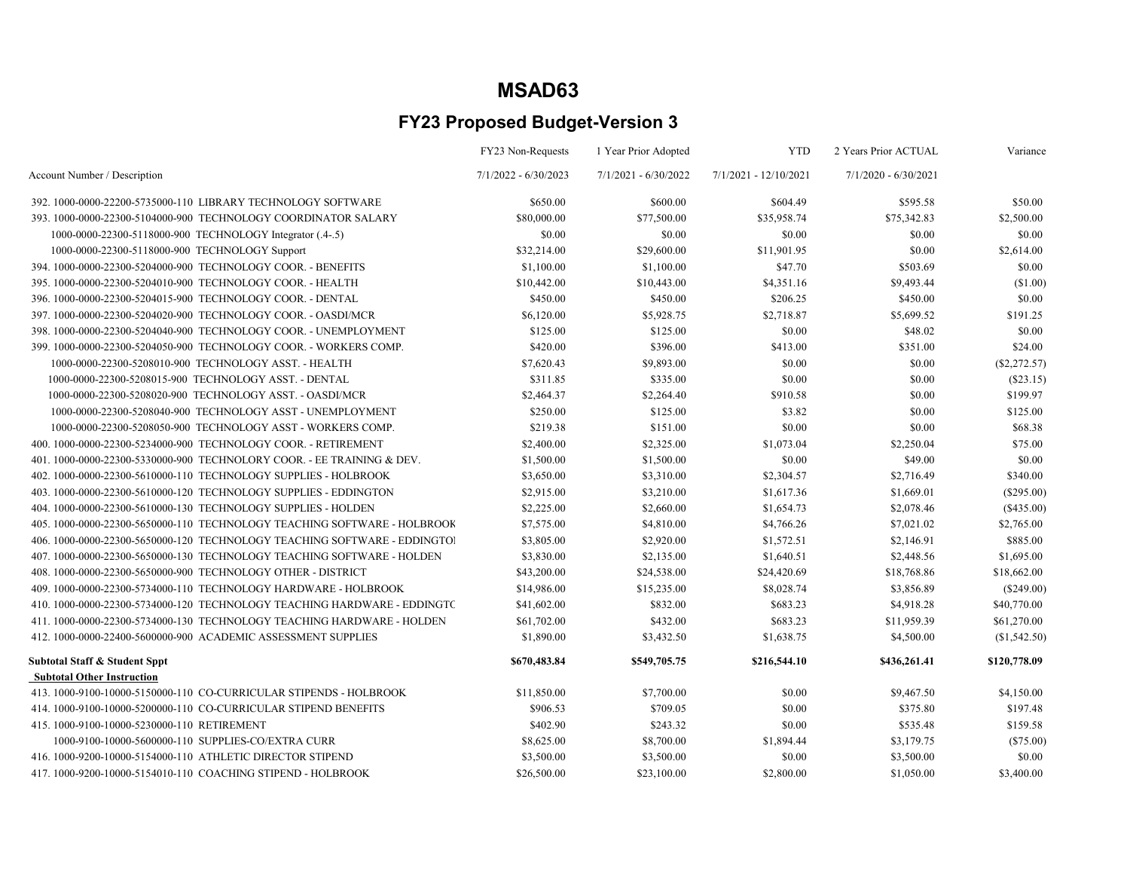|                                                                          | FY23 Non-Requests      | 1 Year Prior Adopted   | <b>YTD</b>              | 2 Years Prior ACTUAL   | Variance     |
|--------------------------------------------------------------------------|------------------------|------------------------|-------------------------|------------------------|--------------|
| Account Number / Description                                             | $7/1/2022 - 6/30/2023$ | $7/1/2021 - 6/30/2022$ | $7/1/2021 - 12/10/2021$ | $7/1/2020 - 6/30/2021$ |              |
| 392. 1000-0000-22200-5735000-110 LIBRARY TECHNOLOGY SOFTWARE             | \$650.00               | \$600.00               | \$604.49                | \$595.58               | \$50.00      |
| 393.1000-0000-22300-5104000-900 TECHNOLOGY COORDINATOR SALARY            | \$80,000.00            | \$77,500.00            | \$35,958.74             | \$75,342.83            | \$2,500.00   |
| 1000-0000-22300-5118000-900 TECHNOLOGY Integrator (.4-.5)                | \$0.00                 | \$0.00                 | \$0.00                  | \$0.00                 | \$0.00       |
| 1000-0000-22300-5118000-900 TECHNOLOGY Support                           | \$32,214.00            | \$29,600.00            | \$11,901.95             | \$0.00                 | \$2,614.00   |
| 394. 1000-0000-22300-5204000-900 TECHNOLOGY COOR. - BENEFITS             | \$1,100.00             | \$1,100.00             | \$47.70                 | \$503.69               | \$0.00       |
| 395. 1000-0000-22300-5204010-900 TECHNOLOGY COOR. - HEALTH               | \$10,442.00            | \$10,443.00            | \$4,351.16              | \$9,493.44             | (\$1.00)     |
| 396. 1000-0000-22300-5204015-900 TECHNOLOGY COOR. - DENTAL               | \$450.00               | \$450.00               | \$206.25                | \$450.00               | \$0.00       |
| 397. 1000-0000-22300-5204020-900 TECHNOLOGY COOR. - OASDI/MCR            | \$6,120.00             | \$5,928.75             | \$2,718.87              | \$5,699.52             | \$191.25     |
| 398.1000-0000-22300-5204040-900 TECHNOLOGY COOR. - UNEMPLOYMENT          | \$125.00               | \$125.00               | \$0.00                  | \$48.02                | \$0.00       |
| 399. 1000-0000-22300-5204050-900 TECHNOLOGY COOR. - WORKERS COMP.        | \$420.00               | \$396.00               | \$413.00                | \$351.00               | \$24.00      |
| 1000-0000-22300-5208010-900 TECHNOLOGY ASST. - HEALTH                    | \$7,620.43             | \$9,893.00             | \$0.00                  | \$0.00                 | (\$2,272.57) |
| 1000-0000-22300-5208015-900 TECHNOLOGY ASST. - DENTAL                    | \$311.85               | \$335.00               | \$0.00                  | \$0.00                 | (\$23.15)    |
| 1000-0000-22300-5208020-900 TECHNOLOGY ASST. - OASDI/MCR                 | \$2,464.37             | \$2,264.40             | \$910.58                | \$0.00                 | \$199.97     |
| 1000-0000-22300-5208040-900 TECHNOLOGY ASST - UNEMPLOYMENT               | \$250.00               | \$125.00               | \$3.82                  | \$0.00                 | \$125.00     |
| 1000-0000-22300-5208050-900 TECHNOLOGY ASST - WORKERS COMP.              | \$219.38               | \$151.00               | \$0.00                  | \$0.00                 | \$68.38      |
| 400.1000-0000-22300-5234000-900 TECHNOLOGY COOR. - RETIREMENT            | \$2,400.00             | \$2,325.00             | \$1,073.04              | \$2,250.04             | \$75.00      |
| 401.1000-0000-22300-5330000-900 TECHNOLORY COOR. - EE TRAINING & DEV.    | \$1,500.00             | \$1,500.00             | \$0.00                  | \$49.00                | \$0.00       |
| 402. 1000-0000-22300-5610000-110 TECHNOLOGY SUPPLIES - HOLBROOK          | \$3,650.00             | \$3,310.00             | \$2,304.57              | \$2,716.49             | \$340.00     |
| 403.1000-0000-22300-5610000-120 TECHNOLOGY SUPPLIES - EDDINGTON          | \$2,915.00             | \$3,210.00             | \$1,617.36              | \$1,669.01             | $(\$295.00)$ |
| 404.1000-0000-22300-5610000-130 TECHNOLOGY SUPPLIES - HOLDEN             | \$2,225.00             | \$2,660.00             | \$1,654.73              | \$2,078.46             | $(\$435.00)$ |
| 405. 1000-0000-22300-5650000-110 TECHNOLOGY TEACHING SOFTWARE - HOLBROOK | \$7,575.00             | \$4,810.00             | \$4,766.26              | \$7,021.02             | \$2,765.00   |
| 406.1000-0000-22300-5650000-120 TECHNOLOGY TEACHING SOFTWARE - EDDINGTOI | \$3,805.00             | \$2,920.00             | \$1,572.51              | \$2,146.91             | \$885.00     |
| 407.1000-0000-22300-5650000-130 TECHNOLOGY TEACHING SOFTWARE - HOLDEN    | \$3,830.00             | \$2,135.00             | \$1,640.51              | \$2,448.56             | \$1,695.00   |
| 408. 1000-0000-22300-5650000-900 TECHNOLOGY OTHER - DISTRICT             | \$43,200.00            | \$24,538.00            | \$24,420.69             | \$18,768.86            | \$18,662.00  |
| 409.1000-0000-22300-5734000-110 TECHNOLOGY HARDWARE - HOLBROOK           | \$14,986.00            | \$15,235.00            | \$8,028.74              | \$3,856.89             | $(\$249.00)$ |
| 410.1000-0000-22300-5734000-120 TECHNOLOGY TEACHING HARDWARE - EDDINGTC  | \$41,602.00            | \$832.00               | \$683.23                | \$4,918.28             | \$40,770.00  |
| 411.1000-0000-22300-5734000-130 TECHNOLOGY TEACHING HARDWARE - HOLDEN    | \$61,702.00            | \$432.00               | \$683.23                | \$11,959.39            | \$61,270.00  |
| 412. 1000-0000-22400-5600000-900 ACADEMIC ASSESSMENT SUPPLIES            | \$1,890.00             | \$3,432.50             | \$1,638.75              | \$4,500.00             | (\$1,542.50) |
| <b>Subtotal Staff &amp; Student Sppt</b>                                 | \$670,483.84           | \$549,705.75           | \$216,544.10            | \$436,261.41           | \$120,778.09 |
| <b>Subtotal Other Instruction</b>                                        |                        |                        |                         |                        |              |
| 413. 1000-9100-10000-5150000-110 CO-CURRICULAR STIPENDS - HOLBROOK       | \$11,850.00            | \$7,700.00             | \$0.00                  | \$9,467.50             | \$4,150.00   |
| 414. 1000-9100-10000-5200000-110 CO-CURRICULAR STIPEND BENEFITS          | \$906.53               | \$709.05               | \$0.00                  | \$375.80               | \$197.48     |
| 415.1000-9100-10000-5230000-110 RETIREMENT                               | \$402.90               | \$243.32               | \$0.00                  | \$535.48               | \$159.58     |
| 1000-9100-10000-5600000-110 SUPPLIES-CO/EXTRA CURR                       | \$8,625.00             | \$8,700.00             | \$1,894.44              | \$3,179.75             | $(\$75.00)$  |
| 416. 1000-9200-10000-5154000-110 ATHLETIC DIRECTOR STIPEND               | \$3,500.00             | \$3,500.00             | \$0.00                  | \$3,500.00             | \$0.00       |
| 417. 1000-9200-10000-5154010-110 COACHING STIPEND - HOLBROOK             | \$26,500.00            | \$23,100.00            | \$2,800.00              | \$1,050.00             | \$3,400.00   |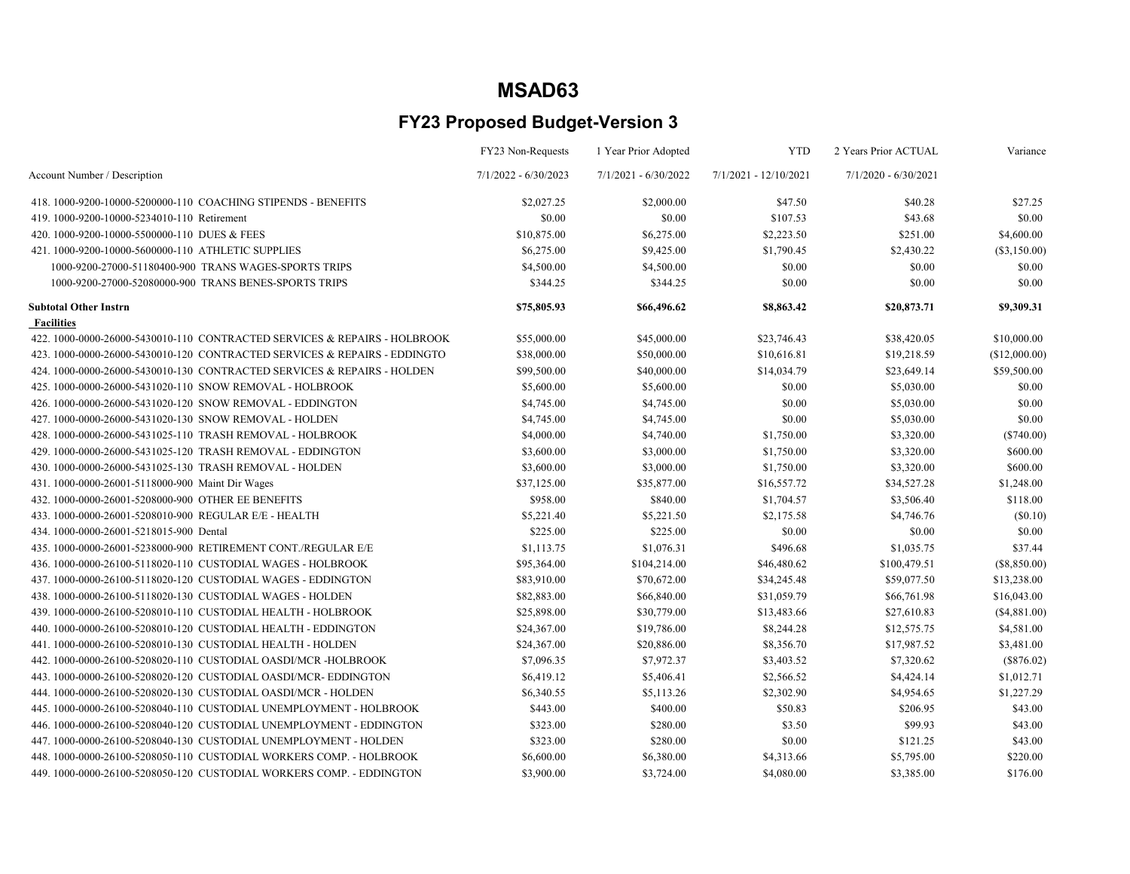|                                                                           | FY23 Non-Requests      | 1 Year Prior Adopted   | <b>YTD</b>            | 2 Years Prior ACTUAL   | Variance       |
|---------------------------------------------------------------------------|------------------------|------------------------|-----------------------|------------------------|----------------|
| Account Number / Description                                              | $7/1/2022 - 6/30/2023$ | $7/1/2021 - 6/30/2022$ | 7/1/2021 - 12/10/2021 | $7/1/2020 - 6/30/2021$ |                |
| 418. 1000-9200-10000-5200000-110 COACHING STIPENDS - BENEFITS             | \$2,027.25             | \$2,000.00             | \$47.50               | \$40.28                | \$27.25        |
| 419. 1000-9200-10000-5234010-110 Retirement                               | \$0.00                 | \$0.00                 | \$107.53              | \$43.68                | \$0.00         |
| 420. 1000-9200-10000-5500000-110 DUES & FEES                              | \$10,875.00            | \$6,275.00             | \$2,223.50            | \$251.00               | \$4,600.00     |
| 421, 1000-9200-10000-5600000-110 ATHLETIC SUPPLIES                        | \$6,275.00             | \$9,425.00             | \$1,790.45            | \$2,430.22             | $(\$3,150.00)$ |
| 1000-9200-27000-51180400-900 TRANS WAGES-SPORTS TRIPS                     | \$4,500.00             | \$4,500.00             | \$0.00                | \$0.00                 | \$0.00         |
| 1000-9200-27000-52080000-900 TRANS BENES-SPORTS TRIPS                     | \$344.25               | \$344.25               | \$0.00                | \$0.00                 | \$0.00         |
| <b>Subtotal Other Instrn</b>                                              | \$75,805.93            | \$66,496.62            | \$8,863.42            | \$20,873.71            | \$9,309.31     |
| <b>Facilities</b>                                                         |                        |                        |                       |                        |                |
| 422, 1000-0000-26000-5430010-110 CONTRACTED SERVICES & REPAIRS - HOLBROOK | \$55,000.00            | \$45,000.00            | \$23,746.43           | \$38,420.05            | \$10,000.00    |
| 423. 1000-0000-26000-5430010-120 CONTRACTED SERVICES & REPAIRS - EDDINGTO | \$38,000.00            | \$50,000.00            | \$10,616.81           | \$19,218.59            | (\$12,000.00)  |
| 424, 1000-0000-26000-5430010-130 CONTRACTED SERVICES & REPAIRS - HOLDEN   | \$99,500.00            | \$40,000.00            | \$14,034.79           | \$23,649.14            | \$59,500.00    |
| 425. 1000-0000-26000-5431020-110 SNOW REMOVAL - HOLBROOK                  | \$5,600.00             | \$5,600.00             | \$0.00                | \$5,030.00             | \$0.00         |
| 426. 1000-0000-26000-5431020-120 SNOW REMOVAL - EDDINGTON                 | \$4,745.00             | \$4,745.00             | \$0.00                | \$5,030.00             | \$0.00         |
| 427, 1000-0000-26000-5431020-130 SNOW REMOVAL - HOLDEN                    | \$4,745.00             | \$4,745.00             | \$0.00                | \$5,030.00             | \$0.00         |
| 428. 1000-0000-26000-5431025-110 TRASH REMOVAL - HOLBROOK                 | \$4,000.00             | \$4,740.00             | \$1,750.00            | \$3,320.00             | $(\$740.00)$   |
| 429. 1000-0000-26000-5431025-120 TRASH REMOVAL - EDDINGTON                | \$3,600.00             | \$3,000.00             | \$1,750.00            | \$3,320.00             | \$600.00       |
| 430. 1000-0000-26000-5431025-130 TRASH REMOVAL - HOLDEN                   | \$3,600.00             | \$3,000.00             | \$1,750.00            | \$3,320.00             | \$600.00       |
| 431. 1000-0000-26001-5118000-900 Maint Dir Wages                          | \$37,125.00            | \$35,877.00            | \$16,557.72           | \$34,527.28            | \$1,248.00     |
| 432. 1000-0000-26001-5208000-900 OTHER EE BENEFITS                        | \$958.00               | \$840.00               | \$1,704.57            | \$3,506.40             | \$118.00       |
| 433. 1000-0000-26001-5208010-900 REGULAR E/E - HEALTH                     | \$5,221.40             | \$5,221.50             | \$2,175.58            | \$4,746.76             | (\$0.10)       |
| 434.1000-0000-26001-5218015-900 Dental                                    | \$225.00               | \$225.00               | \$0.00                | \$0.00                 | \$0.00         |
| 435. 1000-0000-26001-5238000-900 RETIREMENT CONT./REGULAR E/E             | \$1,113.75             | \$1,076.31             | \$496.68              | \$1,035.75             | \$37.44        |
| 436. 1000-0000-26100-5118020-110 CUSTODIAL WAGES - HOLBROOK               | \$95,364.00            | \$104,214.00           | \$46,480.62           | \$100,479.51           | (\$8,850.00)   |
| 437.1000-0000-26100-5118020-120 CUSTODIAL WAGES - EDDINGTON               | \$83,910.00            | \$70,672.00            | \$34,245.48           | \$59,077.50            | \$13,238.00    |
| 438, 1000-0000-26100-5118020-130 CUSTODIAL WAGES - HOLDEN                 | \$82,883.00            | \$66,840.00            | \$31,059.79           | \$66,761.98            | \$16,043.00    |
| 439.1000-0000-26100-5208010-110 CUSTODIAL HEALTH - HOLBROOK               | \$25,898.00            | \$30,779.00            | \$13,483.66           | \$27,610.83            | (\$4,881.00)   |
| 440, 1000-0000-26100-5208010-120 CUSTODIAL HEALTH - EDDINGTON             | \$24,367.00            | \$19,786.00            | \$8,244.28            | \$12,575.75            | \$4,581.00     |
| 441, 1000-0000-26100-5208010-130 CUSTODIAL HEALTH - HOLDEN                | \$24,367.00            | \$20,886.00            | \$8,356.70            | \$17,987.52            | \$3,481.00     |
| 442. 1000-0000-26100-5208020-110 CUSTODIAL OASDI/MCR-HOLBROOK             | \$7,096.35             | \$7,972.37             | \$3,403.52            | \$7,320.62             | $(\$876.02)$   |
| 443.1000-0000-26100-5208020-120 CUSTODIAL OASDI/MCR-EDDINGTON             | \$6,419.12             | \$5,406.41             | \$2,566.52            | \$4,424.14             | \$1,012.71     |
| 444, 1000-0000-26100-5208020-130 CUSTODIAL OASDI/MCR - HOLDEN             | \$6,340.55             | \$5,113.26             | \$2,302.90            | \$4,954.65             | \$1,227.29     |
| 445.1000-0000-26100-5208040-110 CUSTODIAL UNEMPLOYMENT - HOLBROOK         | \$443.00               | \$400.00               | \$50.83               | \$206.95               | \$43.00        |
| 446.1000-0000-26100-5208040-120 CUSTODIAL UNEMPLOYMENT - EDDINGTON        | \$323.00               | \$280.00               | \$3.50                | \$99.93                | \$43.00        |
| 447. 1000-0000-26100-5208040-130 CUSTODIAL UNEMPLOYMENT - HOLDEN          | \$323.00               | \$280.00               | \$0.00                | \$121.25               | \$43.00        |
| 448. 1000-0000-26100-5208050-110 CUSTODIAL WORKERS COMP. - HOLBROOK       | \$6,600.00             | \$6,380.00             | \$4,313.66            | \$5,795.00             | \$220.00       |
| 449.1000-0000-26100-5208050-120 CUSTODIAL WORKERS COMP. - EDDINGTON       | \$3,900.00             | \$3,724.00             | \$4,080.00            | \$3,385.00             | \$176.00       |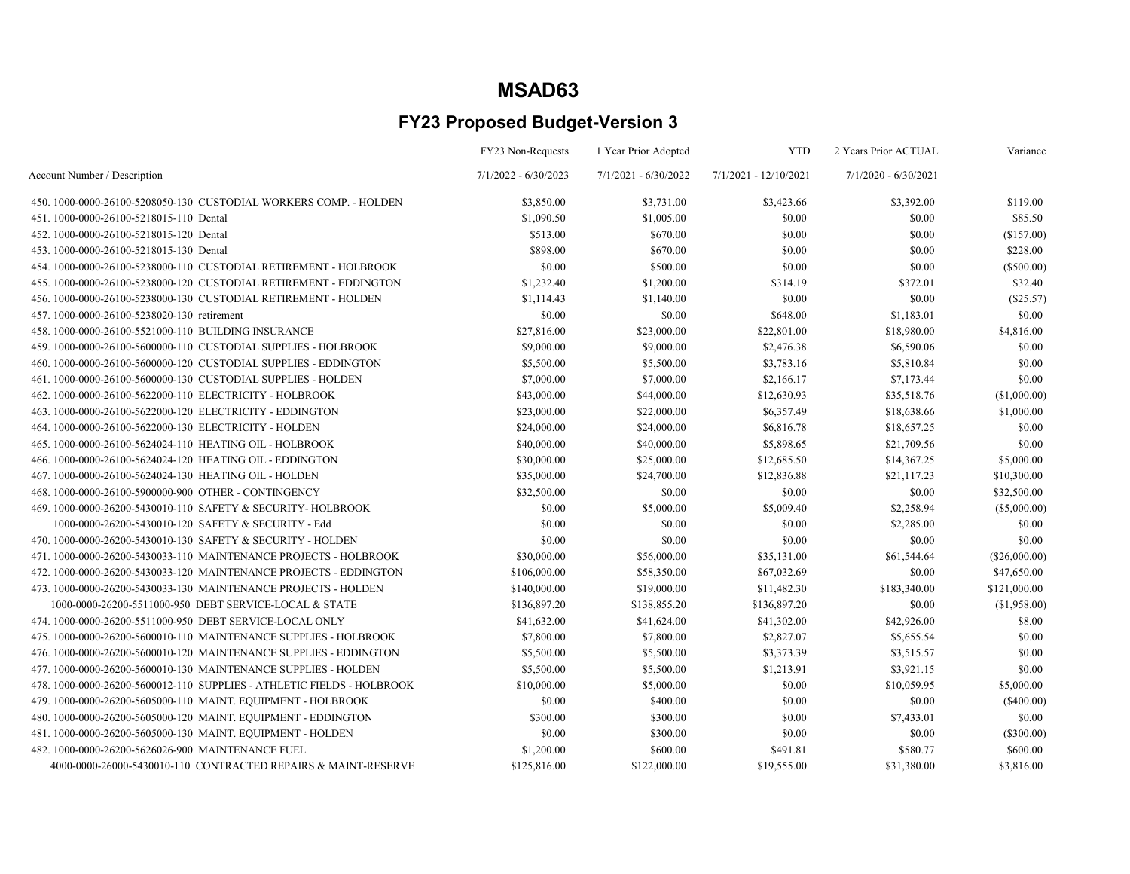|                                                                        | FY23 Non-Requests      | 1 Year Prior Adopted   | <b>YTD</b>            | 2 Years Prior ACTUAL   | Variance      |
|------------------------------------------------------------------------|------------------------|------------------------|-----------------------|------------------------|---------------|
| Account Number / Description                                           | $7/1/2022 - 6/30/2023$ | $7/1/2021 - 6/30/2022$ | 7/1/2021 - 12/10/2021 | $7/1/2020 - 6/30/2021$ |               |
| 450, 1000-0000-26100-5208050-130 CUSTODIAL WORKERS COMP. - HOLDEN      | \$3,850.00             | \$3,731.00             | \$3,423.66            | \$3,392.00             | \$119.00      |
| 451.1000-0000-26100-5218015-110 Dental                                 | \$1,090.50             | \$1,005.00             | \$0.00                | \$0.00                 | \$85.50       |
| 452.1000-0000-26100-5218015-120 Dental                                 | \$513.00               | \$670.00               | \$0.00                | \$0.00                 | (\$157.00)    |
| 453.1000-0000-26100-5218015-130 Dental                                 | \$898.00               | \$670.00               | \$0.00                | \$0.00                 | \$228.00      |
| 454. 1000-0000-26100-5238000-110 CUSTODIAL RETIREMENT - HOLBROOK       | \$0.00                 | \$500.00               | \$0.00                | \$0.00                 | $(\$500.00)$  |
| 455, 1000-0000-26100-5238000-120 CUSTODIAL RETIREMENT - EDDINGTON      | \$1,232.40             | \$1,200.00             | \$314.19              | \$372.01               | \$32.40       |
| 456. 1000-0000-26100-5238000-130 CUSTODIAL RETIREMENT - HOLDEN         | \$1,114.43             | \$1,140.00             | \$0.00                | \$0.00                 | (\$25.57)     |
| 457.1000-0000-26100-5238020-130 retirement                             | \$0.00                 | \$0.00                 | \$648.00              | \$1,183.01             | \$0.00        |
| 458.1000-0000-26100-5521000-110 BUILDING INSURANCE                     | \$27,816.00            | \$23,000.00            | \$22,801.00           | \$18,980.00            | \$4,816.00    |
| 459. 1000-0000-26100-5600000-110 CUSTODIAL SUPPLIES - HOLBROOK         | \$9,000.00             | \$9,000.00             | \$2,476.38            | \$6,590.06             | \$0.00        |
| 460.1000-0000-26100-5600000-120 CUSTODIAL SUPPLIES - EDDINGTON         | \$5,500.00             | \$5,500.00             | \$3,783.16            | \$5,810.84             | \$0.00        |
| 461.1000-0000-26100-5600000-130 CUSTODIAL SUPPLIES - HOLDEN            | \$7,000.00             | \$7,000.00             | \$2,166.17            | \$7,173.44             | \$0.00        |
| 462. 1000-0000-26100-5622000-110 ELECTRICITY - HOLBROOK                | \$43,000.00            | \$44,000.00            | \$12,630.93           | \$35,518.76            | (\$1,000.00)  |
| 463.1000-0000-26100-5622000-120 ELECTRICITY - EDDINGTON                | \$23,000.00            | \$22,000.00            | \$6,357.49            | \$18,638.66            | \$1,000.00    |
| 464.1000-0000-26100-5622000-130 ELECTRICITY - HOLDEN                   | \$24,000.00            | \$24,000.00            | \$6,816.78            | \$18,657.25            | \$0.00        |
| 465. 1000-0000-26100-5624024-110 HEATING OIL - HOLBROOK                | \$40,000.00            | \$40,000.00            | \$5,898.65            | \$21,709.56            | \$0.00        |
| 466, 1000-0000-26100-5624024-120 HEATING OIL - EDDINGTON               | \$30,000.00            | \$25,000.00            | \$12,685.50           | \$14,367.25            | \$5,000.00    |
| 467. 1000-0000-26100-5624024-130 HEATING OIL - HOLDEN                  | \$35,000.00            | \$24,700.00            | \$12,836.88           | \$21,117.23            | \$10,300.00   |
| 468.1000-0000-26100-5900000-900 OTHER - CONTINGENCY                    | \$32,500.00            | \$0.00                 | \$0.00                | \$0.00                 | \$32,500.00   |
| 469. 1000-0000-26200-5430010-110 SAFETY & SECURITY-HOLBROOK            | \$0.00                 | \$5,000.00             | \$5,009.40            | \$2,258.94             | (\$5,000.00)  |
| 1000-0000-26200-5430010-120 SAFETY & SECURITY - Edd                    | \$0.00                 | \$0.00                 | \$0.00                | \$2,285.00             | \$0.00        |
| 470. 1000-0000-26200-5430010-130 SAFETY & SECURITY - HOLDEN            | \$0.00                 | \$0.00                 | \$0.00                | \$0.00                 | \$0.00        |
| 471. 1000-0000-26200-5430033-110 MAINTENANCE PROJECTS - HOLBROOK       | \$30,000.00            | \$56,000.00            | \$35,131.00           | \$61,544.64            | (\$26,000.00) |
| 472. 1000-0000-26200-5430033-120 MAINTENANCE PROJECTS - EDDINGTON      | \$106,000.00           | \$58,350.00            | \$67,032.69           | \$0.00                 | \$47,650.00   |
| 473. 1000-0000-26200-5430033-130 MAINTENANCE PROJECTS - HOLDEN         | \$140,000.00           | \$19,000.00            | \$11,482.30           | \$183,340.00           | \$121,000.00  |
| 1000-0000-26200-5511000-950 DEBT SERVICE-LOCAL & STATE                 | \$136,897.20           | \$138,855.20           | \$136,897.20          | \$0.00                 | (\$1,958.00)  |
| 474. 1000-0000-26200-5511000-950 DEBT SERVICE-LOCAL ONLY               | \$41,632.00            | \$41,624.00            | \$41,302.00           | \$42,926.00            | \$8.00        |
| 475. 1000-0000-26200-5600010-110 MAINTENANCE SUPPLIES - HOLBROOK       | \$7,800.00             | \$7,800.00             | \$2,827.07            | \$5,655.54             | \$0.00        |
| 476. 1000-0000-26200-5600010-120 MAINTENANCE SUPPLIES - EDDINGTON      | \$5,500.00             | \$5,500.00             | \$3,373.39            | \$3,515.57             | \$0.00        |
| 477. 1000-0000-26200-5600010-130 MAINTENANCE SUPPLIES - HOLDEN         | \$5,500.00             | \$5,500.00             | \$1,213.91            | \$3,921.15             | \$0.00        |
| 478. 1000-0000-26200-5600012-110 SUPPLIES - ATHLETIC FIELDS - HOLBROOK | \$10,000.00            | \$5,000.00             | \$0.00                | \$10,059.95            | \$5,000.00    |
| 479. 1000-0000-26200-5605000-110 MAINT. EQUIPMENT - HOLBROOK           | \$0.00                 | \$400.00               | \$0.00                | \$0.00                 | $(\$400.00)$  |
| 480. 1000-0000-26200-5605000-120 MAINT. EQUIPMENT - EDDINGTON          | \$300.00               | \$300.00               | \$0.00                | \$7,433.01             | \$0.00        |
| 481.1000-0000-26200-5605000-130 MAINT. EQUIPMENT - HOLDEN              | \$0.00                 | \$300.00               | \$0.00                | \$0.00                 | (\$300.00)    |
| 482. 1000-0000-26200-5626026-900 MAINTENANCE FUEL                      | \$1,200.00             | \$600.00               | \$491.81              | \$580.77               | \$600.00      |
| 4000-0000-26000-5430010-110 CONTRACTED REPAIRS & MAINT-RESERVE         | \$125,816.00           | \$122,000.00           | \$19,555.00           | \$31,380.00            | \$3,816.00    |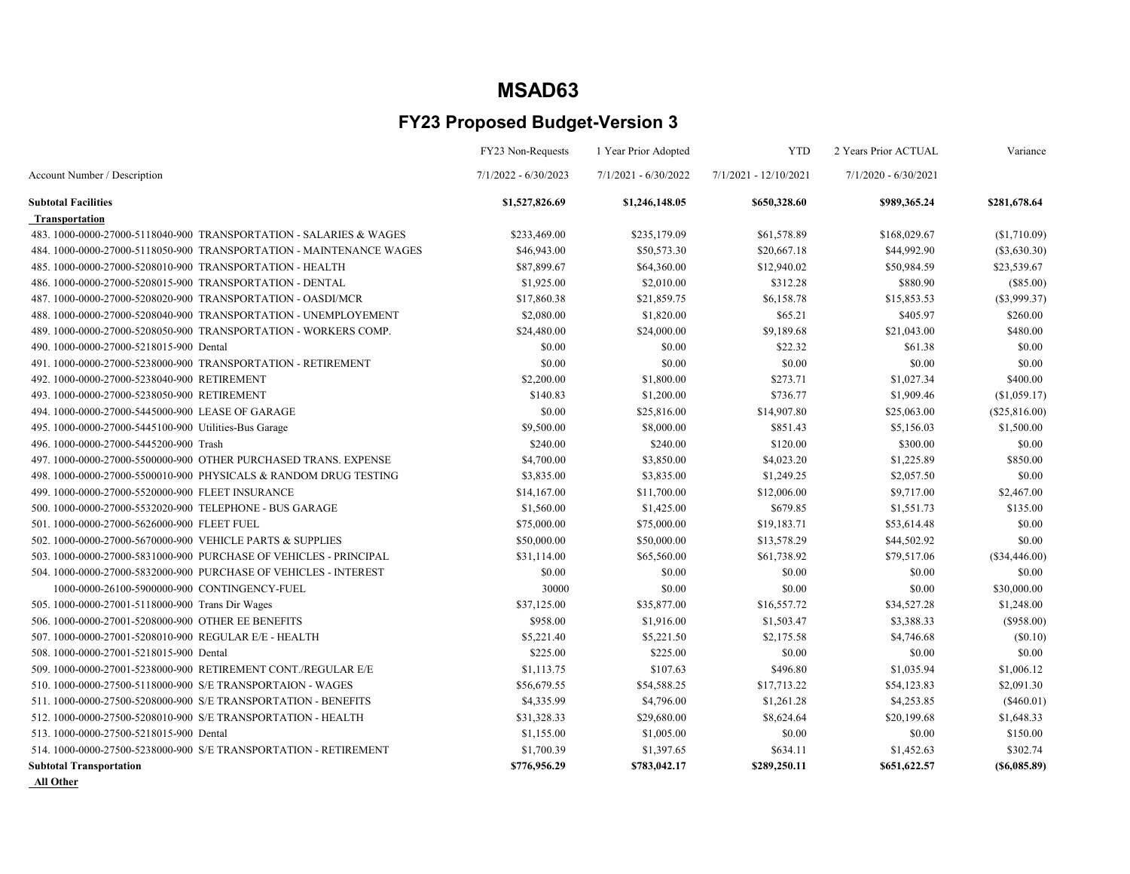### FY23 Proposed Budget-Version 3

|                                                                     | FY23 Non-Requests      | 1 Year Prior Adopted   | <b>YTD</b>              | 2 Years Prior ACTUAL   | Variance        |
|---------------------------------------------------------------------|------------------------|------------------------|-------------------------|------------------------|-----------------|
| Account Number / Description                                        | $7/1/2022 - 6/30/2023$ | $7/1/2021 - 6/30/2022$ | $7/1/2021 - 12/10/2021$ | $7/1/2020 - 6/30/2021$ |                 |
| <b>Subtotal Facilities</b>                                          | \$1,527,826.69         | \$1,246,148.05         | \$650,328.60            | \$989,365.24           | \$281,678.64    |
| <b>Transportation</b>                                               |                        |                        |                         |                        |                 |
| 483. 1000-0000-27000-5118040-900 TRANSPORTATION - SALARIES & WAGES  | \$233,469.00           | \$235,179.09           | \$61,578.89             | \$168,029.67           | (\$1,710.09)    |
| 484. 1000-0000-27000-5118050-900 TRANSPORTATION - MAINTENANCE WAGES | \$46,943.00            | \$50,573.30            | \$20,667.18             | \$44,992.90            | $(\$3,630.30)$  |
| 485, 1000-0000-27000-5208010-900 TRANSPORTATION - HEALTH            | \$87,899.67            | \$64,360.00            | \$12,940.02             | \$50,984.59            | \$23,539.67     |
| 486, 1000-0000-27000-5208015-900 TRANSPORTATION - DENTAL            | \$1,925.00             | \$2,010.00             | \$312.28                | \$880.90               | $(\$85.00)$     |
| 487. 1000-0000-27000-5208020-900 TRANSPORTATION - OASDI/MCR         | \$17,860.38            | \$21,859.75            | \$6,158.78              | \$15,853.53            | (\$3,999.37)    |
| 488.1000-0000-27000-5208040-900 TRANSPORTATION - UNEMPLOYEMENT      | \$2,080.00             | \$1,820.00             | \$65.21                 | \$405.97               | \$260.00        |
| 489. 1000-0000-27000-5208050-900 TRANSPORTATION - WORKERS COMP.     | \$24,480.00            | \$24,000.00            | \$9,189.68              | \$21,043.00            | \$480.00        |
| 490.1000-0000-27000-5218015-900 Dental                              | \$0.00                 | \$0.00                 | \$22.32                 | \$61.38                | \$0.00          |
| 491. 1000-0000-27000-5238000-900 TRANSPORTATION - RETIREMENT        | \$0.00                 | \$0.00                 | \$0.00                  | \$0.00                 | \$0.00          |
| 492.1000-0000-27000-5238040-900 RETIREMENT                          | \$2,200.00             | \$1,800.00             | \$273.71                | \$1,027.34             | \$400.00        |
| 493.1000-0000-27000-5238050-900 RETIREMENT                          | \$140.83               | \$1,200.00             | \$736.77                | \$1,909.46             | (\$1,059.17)    |
| 494. 1000-0000-27000-5445000-900 LEASE OF GARAGE                    | \$0.00                 | \$25,816.00            | \$14,907.80             | \$25,063.00            | (\$25,816.00)   |
| 495. 1000-0000-27000-5445100-900 Utilities-Bus Garage               | \$9,500.00             | \$8,000.00             | \$851.43                | \$5,156.03             | \$1,500.00      |
| 496.1000-0000-27000-5445200-900 Trash                               | \$240.00               | \$240.00               | \$120.00                | \$300.00               | \$0.00          |
| 497. 1000-0000-27000-5500000-900 OTHER PURCHASED TRANS. EXPENSE     | \$4,700.00             | \$3,850.00             | \$4,023.20              | \$1,225.89             | \$850.00        |
| 498.1000-0000-27000-5500010-900 PHYSICALS & RANDOM DRUG TESTING     | \$3,835.00             | \$3,835.00             | \$1,249.25              | \$2,057.50             | \$0.00          |
| 499. 1000-0000-27000-5520000-900 FLEET INSURANCE                    | \$14,167.00            | \$11,700.00            | \$12,006.00             | \$9,717.00             | \$2,467.00      |
| 500. 1000-0000-27000-5532020-900 TELEPHONE - BUS GARAGE             | \$1,560.00             | \$1,425.00             | \$679.85                | \$1,551.73             | \$135.00        |
| 501.1000-0000-27000-5626000-900 FLEET FUEL                          | \$75,000.00            | \$75,000.00            | \$19,183.71             | \$53,614.48            | \$0.00          |
| 502.1000-0000-27000-5670000-900 VEHICLE PARTS & SUPPLIES            | \$50,000.00            | \$50,000.00            | \$13,578.29             | \$44,502.92            | \$0.00          |
| 503. 1000-0000-27000-5831000-900 PURCHASE OF VEHICLES - PRINCIPAL   | \$31,114.00            | \$65,560.00            | \$61,738.92             | \$79,517.06            | (\$34,446.00)   |
| 504, 1000-0000-27000-5832000-900 PURCHASE OF VEHICLES - INTEREST    | \$0.00                 | \$0.00                 | \$0.00                  | \$0.00                 | \$0.00          |
| 1000-0000-26100-5900000-900 CONTINGENCY-FUEL                        | 30000                  | \$0.00                 | \$0.00                  | \$0.00                 | \$30,000.00     |
| 505. 1000-0000-27001-5118000-900 Trans Dir Wages                    | \$37,125.00            | \$35,877.00            | \$16,557.72             | \$34,527.28            | \$1,248.00      |
| 506. 1000-0000-27001-5208000-900 OTHER EE BENEFITS                  | \$958.00               | \$1,916.00             | \$1,503.47              | \$3,388.33             | $(\$958.00)$    |
| 507.1000-0000-27001-5208010-900 REGULAR E/E - HEALTH                | \$5,221.40             | \$5,221.50             | \$2,175.58              | \$4,746.68             | (\$0.10)        |
| 508.1000-0000-27001-5218015-900 Dental                              | \$225.00               | \$225.00               | \$0.00                  | \$0.00                 | \$0.00          |
| 509. 1000-0000-27001-5238000-900 RETIREMENT CONT./REGULAR E/E       | \$1,113.75             | \$107.63               | \$496.80                | \$1,035.94             | \$1,006.12      |
| 510, 1000-0000-27500-5118000-900 S/E TRANSPORTAION - WAGES          | \$56,679.55            | \$54,588.25            | \$17,713.22             | \$54,123.83            | \$2,091.30      |
| 511. 1000-0000-27500-5208000-900 S/E TRANSPORTATION - BENEFITS      | \$4,335.99             | \$4,796.00             | \$1,261.28              | \$4,253.85             | $(\$460.01)$    |
| 512. 1000-0000-27500-5208010-900 S/E TRANSPORTATION - HEALTH        | \$31,328.33            | \$29,680.00            | \$8,624.64              | \$20,199.68            | \$1,648.33      |
| 513.1000-0000-27500-5218015-900 Dental                              | \$1,155.00             | \$1,005.00             | \$0.00                  | \$0.00                 | \$150.00        |
| 514. 1000-0000-27500-5238000-900 S/E TRANSPORTATION - RETIREMENT    | \$1,700.39             | \$1,397.65             | \$634.11                | \$1,452.63             | \$302.74        |
| <b>Subtotal Transportation</b>                                      | \$776,956.29           | \$783,042.17           | \$289,250.11            | \$651,622.57           | $($ \$6,085.89) |

All Other